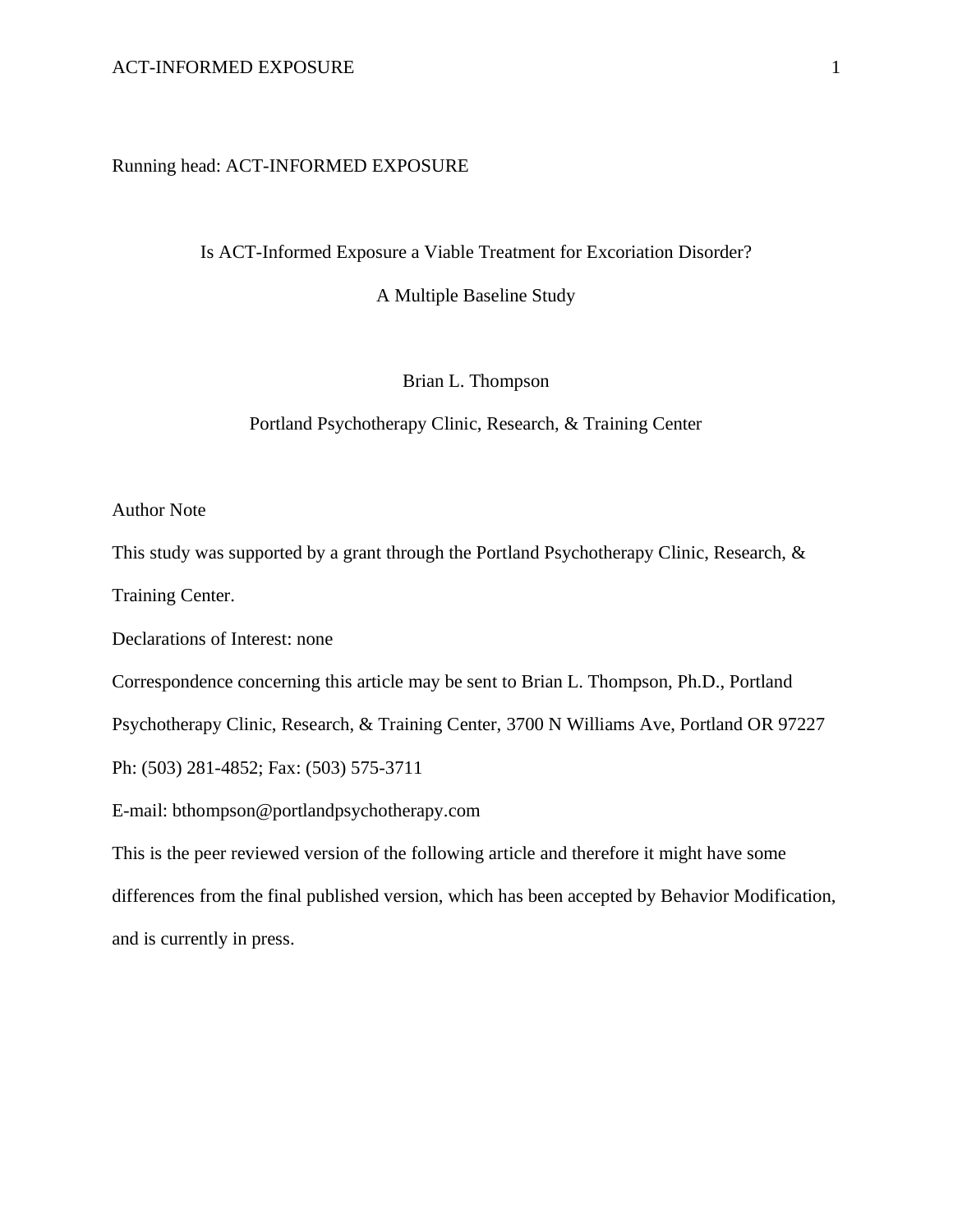### Running head: ACT-INFORMED EXPOSURE

Is ACT-Informed Exposure a Viable Treatment for Excoriation Disorder?

A Multiple Baseline Study

Brian L. Thompson

Portland Psychotherapy Clinic, Research, & Training Center

Author Note

This study was supported by a grant through the Portland Psychotherapy Clinic, Research, &

Training Center.

Declarations of Interest: none

Correspondence concerning this article may be sent to Brian L. Thompson, Ph.D., Portland

Psychotherapy Clinic, Research, & Training Center, 3700 N Williams Ave, Portland OR 97227

Ph: (503) 281-4852; Fax: (503) 575-3711

E-mail: [bthompson@portlandpsychotherapy.com](mailto:bthompson@portlandpsychotherapy.com)

This is the peer reviewed version of the following article and therefore it might have some differences from the final published version, which has been accepted by Behavior Modification, and is currently in press.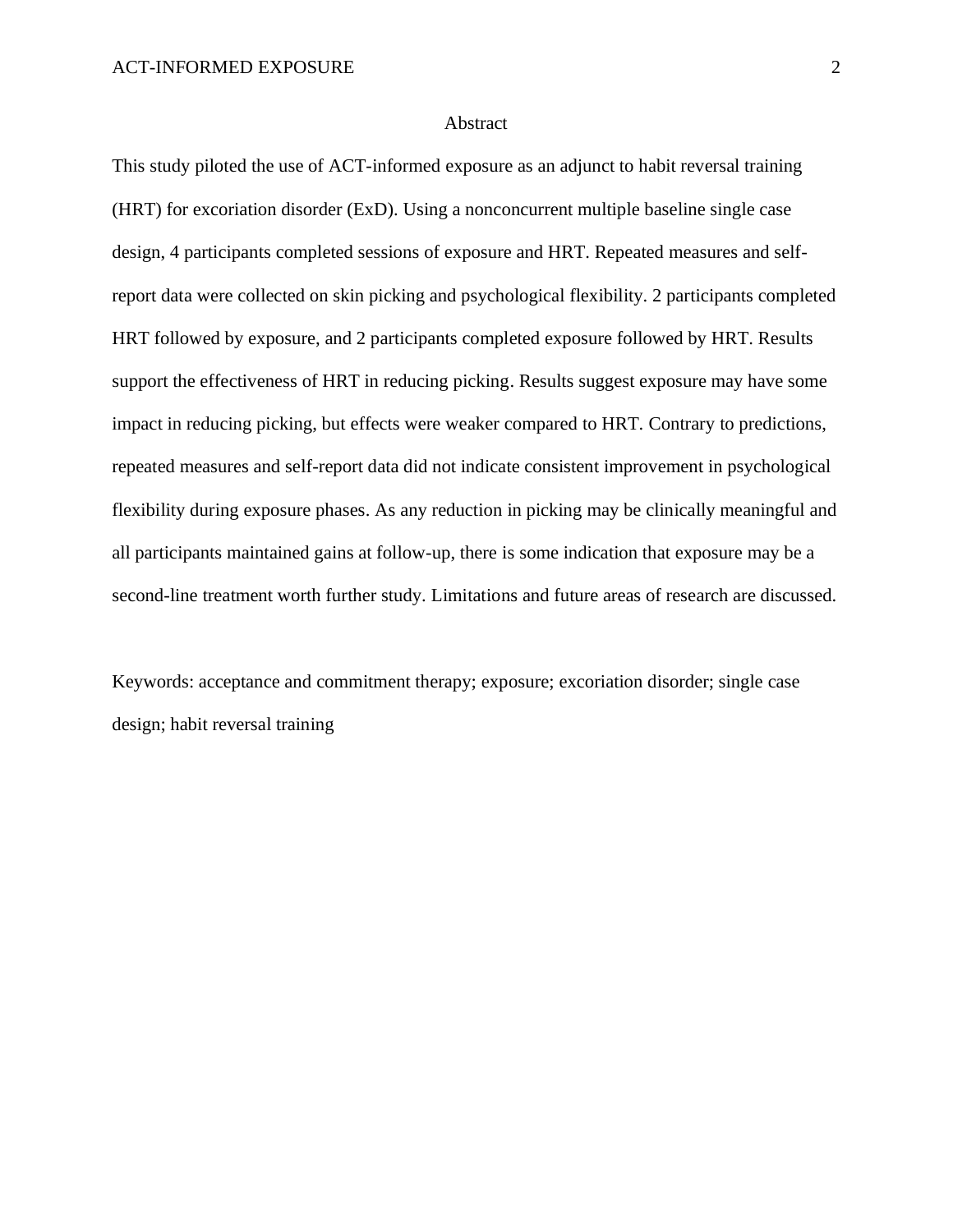### Abstract

This study piloted the use of ACT-informed exposure as an adjunct to habit reversal training (HRT) for excoriation disorder (ExD). Using a nonconcurrent multiple baseline single case design, 4 participants completed sessions of exposure and HRT. Repeated measures and selfreport data were collected on skin picking and psychological flexibility. 2 participants completed HRT followed by exposure, and 2 participants completed exposure followed by HRT. Results support the effectiveness of HRT in reducing picking. Results suggest exposure may have some impact in reducing picking, but effects were weaker compared to HRT. Contrary to predictions, repeated measures and self-report data did not indicate consistent improvement in psychological flexibility during exposure phases. As any reduction in picking may be clinically meaningful and all participants maintained gains at follow-up, there is some indication that exposure may be a second-line treatment worth further study. Limitations and future areas of research are discussed.

Keywords: acceptance and commitment therapy; exposure; excoriation disorder; single case design; habit reversal training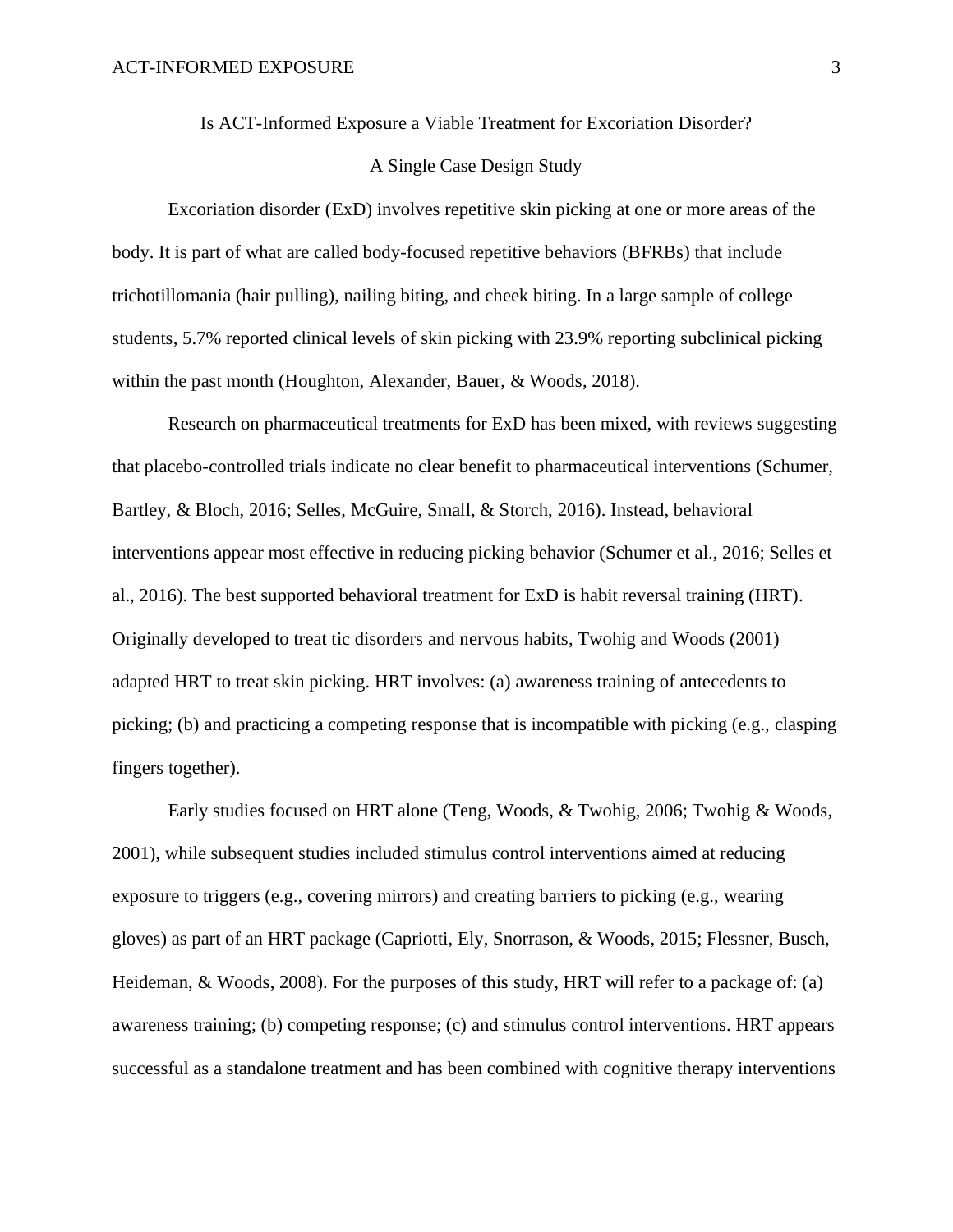Is ACT-Informed Exposure a Viable Treatment for Excoriation Disorder?

## A Single Case Design Study

Excoriation disorder (ExD) involves repetitive skin picking at one or more areas of the body. It is part of what are called body-focused repetitive behaviors (BFRBs) that include trichotillomania (hair pulling), nailing biting, and cheek biting. In a large sample of college students, 5.7% reported clinical levels of skin picking with 23.9% reporting subclinical picking within the past month (Houghton, Alexander, Bauer, & Woods, 2018).

Research on pharmaceutical treatments for ExD has been mixed, with reviews suggesting that placebo-controlled trials indicate no clear benefit to pharmaceutical interventions (Schumer, Bartley, & Bloch, 2016; Selles, McGuire, Small, & Storch, 2016). Instead, behavioral interventions appear most effective in reducing picking behavior (Schumer et al., 2016; Selles et al., 2016). The best supported behavioral treatment for ExD is habit reversal training (HRT). Originally developed to treat tic disorders and nervous habits, Twohig and Woods (2001) adapted HRT to treat skin picking. HRT involves: (a) awareness training of antecedents to picking; (b) and practicing a competing response that is incompatible with picking (e.g., clasping fingers together).

Early studies focused on HRT alone (Teng, Woods, & Twohig, 2006; Twohig & Woods, 2001), while subsequent studies included stimulus control interventions aimed at reducing exposure to triggers (e.g., covering mirrors) and creating barriers to picking (e.g., wearing gloves) as part of an HRT package (Capriotti, Ely, Snorrason, & Woods, 2015; Flessner, Busch, Heideman, & Woods, 2008). For the purposes of this study, HRT will refer to a package of: (a) awareness training; (b) competing response; (c) and stimulus control interventions. HRT appears successful as a standalone treatment and has been combined with cognitive therapy interventions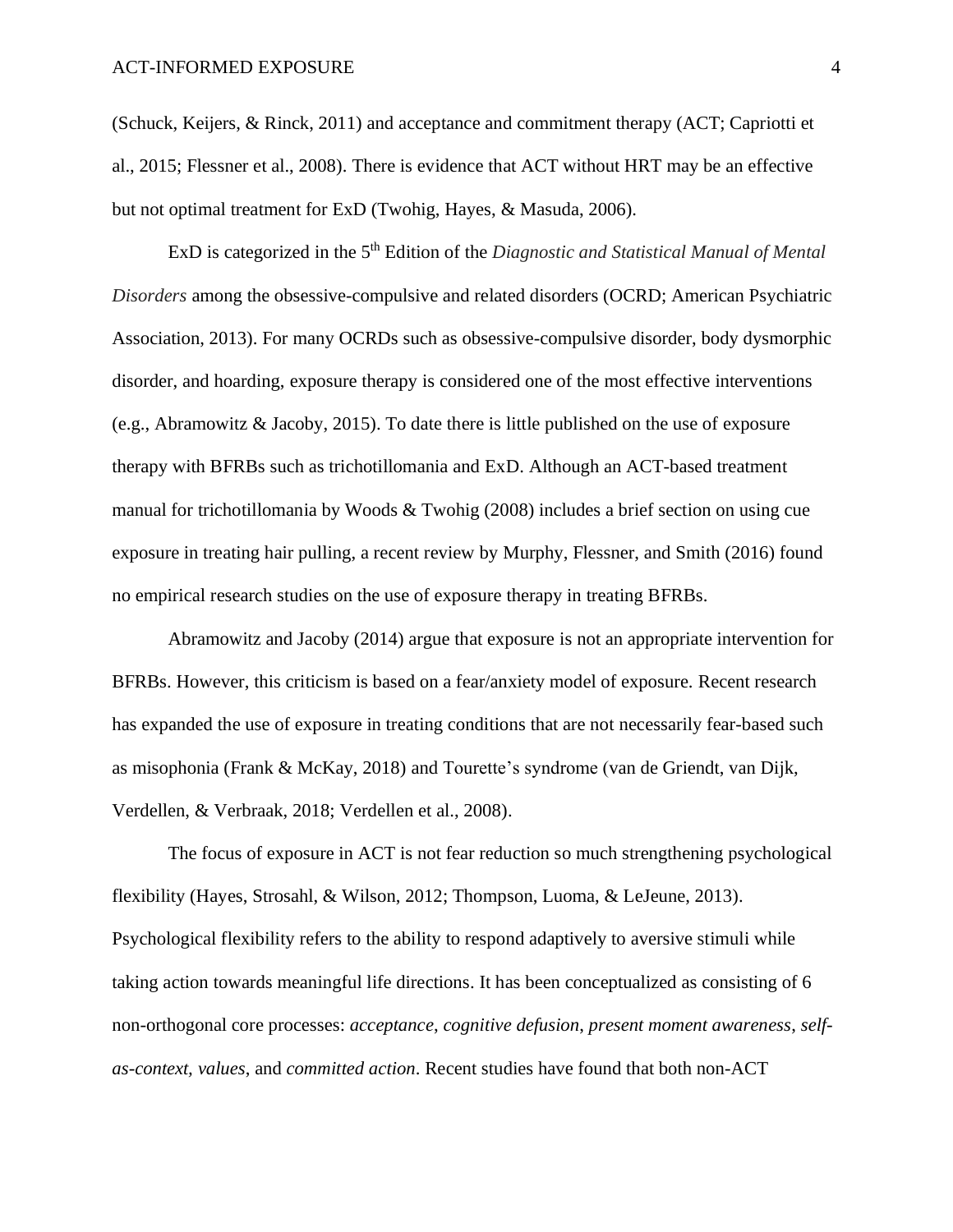(Schuck, Keijers, & Rinck, 2011) and acceptance and commitment therapy (ACT; Capriotti et al., 2015; Flessner et al., 2008). There is evidence that ACT without HRT may be an effective but not optimal treatment for ExD (Twohig, Hayes, & Masuda, 2006).

ExD is categorized in the 5<sup>th</sup> Edition of the *Diagnostic and Statistical Manual of Mental Disorders* among the obsessive-compulsive and related disorders (OCRD; American Psychiatric Association, 2013). For many OCRDs such as obsessive-compulsive disorder, body dysmorphic disorder, and hoarding, exposure therapy is considered one of the most effective interventions (e.g., Abramowitz & Jacoby, 2015). To date there is little published on the use of exposure therapy with BFRBs such as trichotillomania and ExD. Although an ACT-based treatment manual for trichotillomania by Woods & Twohig (2008) includes a brief section on using cue exposure in treating hair pulling, a recent review by Murphy, Flessner, and Smith (2016) found no empirical research studies on the use of exposure therapy in treating BFRBs.

Abramowitz and Jacoby (2014) argue that exposure is not an appropriate intervention for BFRBs. However, this criticism is based on a fear/anxiety model of exposure. Recent research has expanded the use of exposure in treating conditions that are not necessarily fear-based such as misophonia (Frank & McKay, 2018) and Tourette's syndrome (van de Griendt, van Dijk, Verdellen, & Verbraak, 2018; Verdellen et al., 2008).

The focus of exposure in ACT is not fear reduction so much strengthening psychological flexibility (Hayes, Strosahl, & Wilson, 2012; Thompson, Luoma, & LeJeune, 2013). Psychological flexibility refers to the ability to respond adaptively to aversive stimuli while taking action towards meaningful life directions. It has been conceptualized as consisting of 6 non-orthogonal core processes: *acceptance*, *cognitive defusion*, *present moment awareness*, *selfas-context, values*, and *committed action*. Recent studies have found that both non-ACT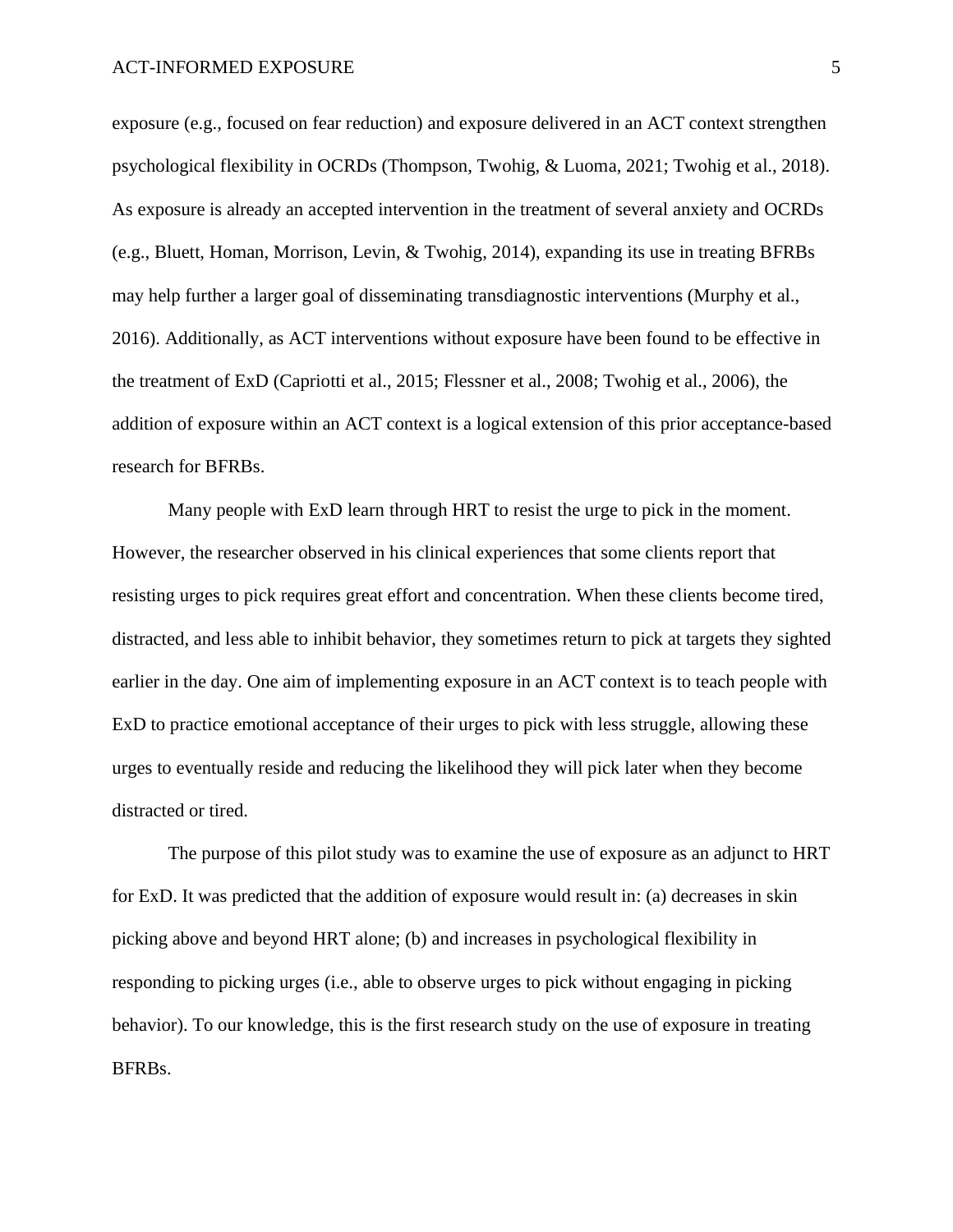exposure (e.g., focused on fear reduction) and exposure delivered in an ACT context strengthen psychological flexibility in OCRDs (Thompson, Twohig, & Luoma, 2021; Twohig et al., 2018). As exposure is already an accepted intervention in the treatment of several anxiety and OCRDs (e.g., Bluett, Homan, Morrison, Levin, & Twohig, 2014), expanding its use in treating BFRBs may help further a larger goal of disseminating transdiagnostic interventions (Murphy et al., 2016). Additionally, as ACT interventions without exposure have been found to be effective in the treatment of ExD (Capriotti et al., 2015; Flessner et al., 2008; Twohig et al., 2006), the addition of exposure within an ACT context is a logical extension of this prior acceptance-based research for BFRBs.

Many people with ExD learn through HRT to resist the urge to pick in the moment. However, the researcher observed in his clinical experiences that some clients report that resisting urges to pick requires great effort and concentration. When these clients become tired, distracted, and less able to inhibit behavior, they sometimes return to pick at targets they sighted earlier in the day. One aim of implementing exposure in an ACT context is to teach people with ExD to practice emotional acceptance of their urges to pick with less struggle, allowing these urges to eventually reside and reducing the likelihood they will pick later when they become distracted or tired.

The purpose of this pilot study was to examine the use of exposure as an adjunct to HRT for ExD. It was predicted that the addition of exposure would result in: (a) decreases in skin picking above and beyond HRT alone; (b) and increases in psychological flexibility in responding to picking urges (i.e., able to observe urges to pick without engaging in picking behavior). To our knowledge, this is the first research study on the use of exposure in treating BFRBs.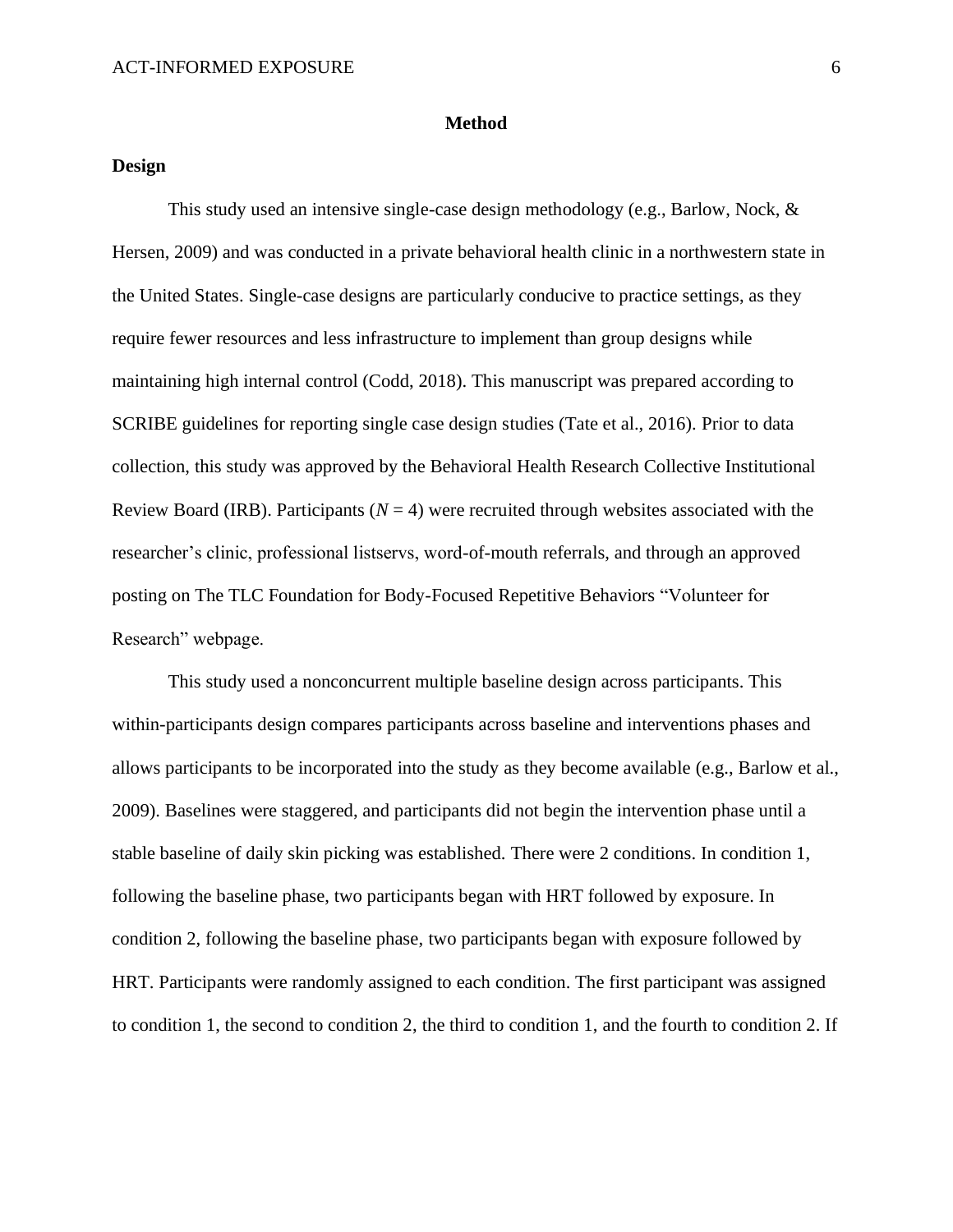### **Method**

### **Design**

This study used an intensive single-case design methodology (e.g., Barlow, Nock,  $\&$ Hersen, 2009) and was conducted in a private behavioral health clinic in a northwestern state in the United States. Single-case designs are particularly conducive to practice settings, as they require fewer resources and less infrastructure to implement than group designs while maintaining high internal control (Codd, 2018). This manuscript was prepared according to SCRIBE guidelines for reporting single case design studies (Tate et al., 2016). Prior to data collection, this study was approved by the Behavioral Health Research Collective Institutional Review Board (IRB). Participants ( $N = 4$ ) were recruited through websites associated with the researcher's clinic, professional listservs, word-of-mouth referrals, and through an approved posting on The TLC Foundation for Body-Focused Repetitive Behaviors "Volunteer for Research" webpage.

This study used a nonconcurrent multiple baseline design across participants. This within-participants design compares participants across baseline and interventions phases and allows participants to be incorporated into the study as they become available (e.g., Barlow et al., 2009). Baselines were staggered, and participants did not begin the intervention phase until a stable baseline of daily skin picking was established. There were 2 conditions. In condition 1, following the baseline phase, two participants began with HRT followed by exposure. In condition 2, following the baseline phase, two participants began with exposure followed by HRT. Participants were randomly assigned to each condition. The first participant was assigned to condition 1, the second to condition 2, the third to condition 1, and the fourth to condition 2. If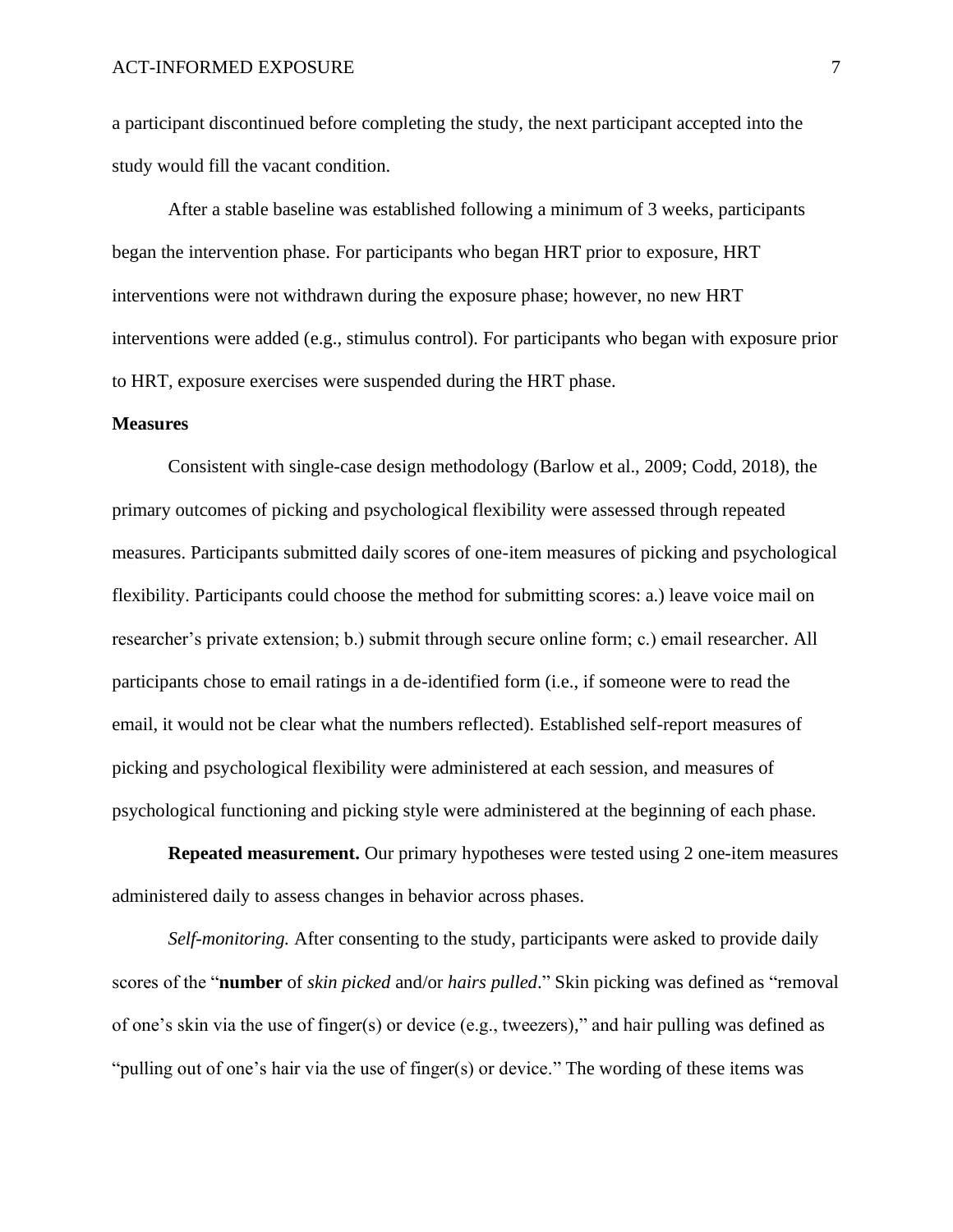a participant discontinued before completing the study, the next participant accepted into the study would fill the vacant condition.

After a stable baseline was established following a minimum of 3 weeks, participants began the intervention phase. For participants who began HRT prior to exposure, HRT interventions were not withdrawn during the exposure phase; however, no new HRT interventions were added (e.g., stimulus control). For participants who began with exposure prior to HRT, exposure exercises were suspended during the HRT phase.

### **Measures**

Consistent with single-case design methodology (Barlow et al., 2009; Codd, 2018), the primary outcomes of picking and psychological flexibility were assessed through repeated measures. Participants submitted daily scores of one-item measures of picking and psychological flexibility. Participants could choose the method for submitting scores: a.) leave voice mail on researcher's private extension; b.) submit through secure online form; c.) email researcher. All participants chose to email ratings in a de-identified form (i.e., if someone were to read the email, it would not be clear what the numbers reflected). Established self-report measures of picking and psychological flexibility were administered at each session, and measures of psychological functioning and picking style were administered at the beginning of each phase.

**Repeated measurement.** Our primary hypotheses were tested using 2 one-item measures administered daily to assess changes in behavior across phases.

*Self-monitoring.* After consenting to the study, participants were asked to provide daily scores of the "**number** of *skin picked* and/or *hairs pulled*." Skin picking was defined as "removal of one's skin via the use of finger(s) or device (e.g., tweezers)," and hair pulling was defined as "pulling out of one's hair via the use of finger(s) or device." The wording of these items was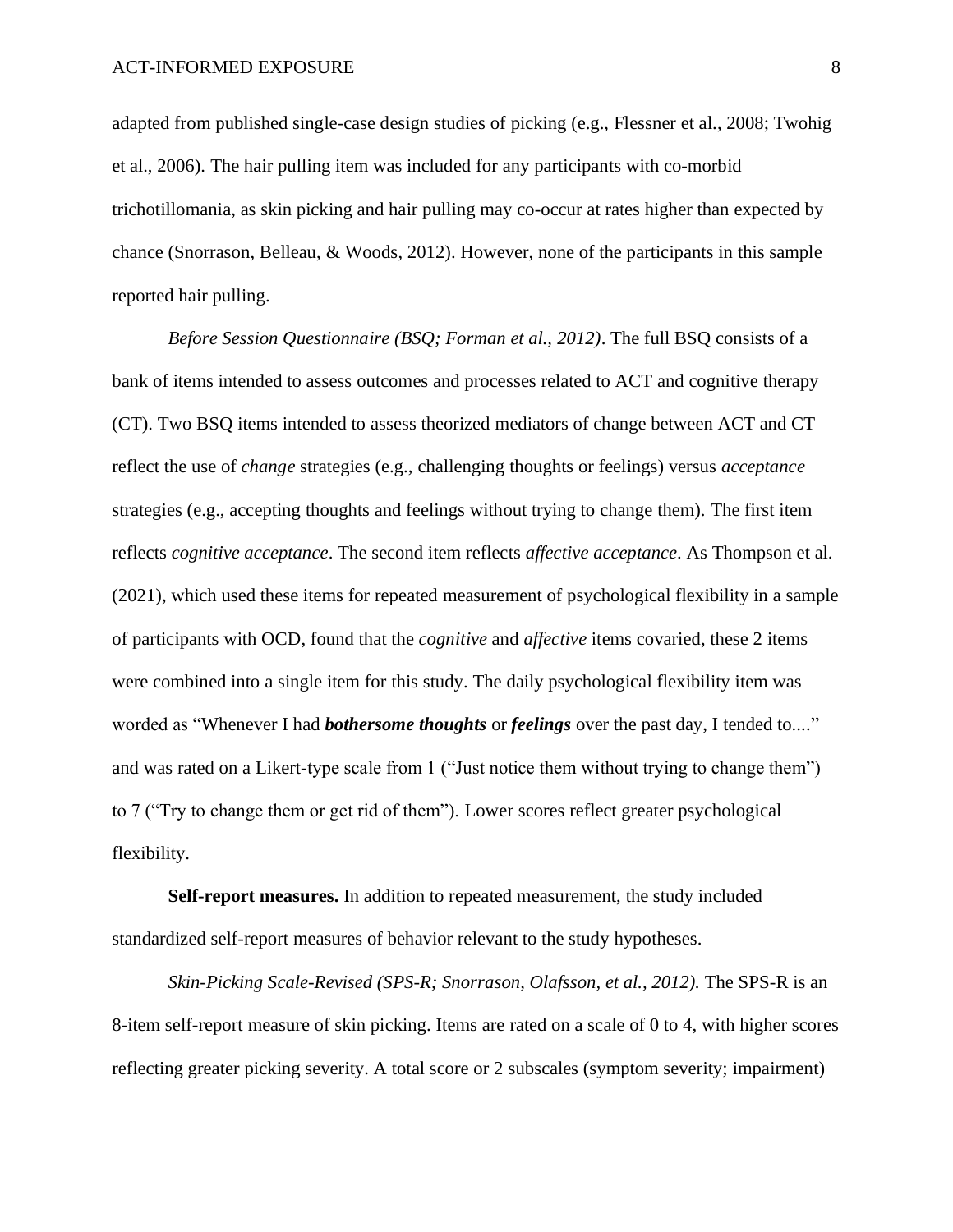adapted from published single-case design studies of picking (e.g., Flessner et al., 2008; Twohig et al., 2006). The hair pulling item was included for any participants with co-morbid trichotillomania, as skin picking and hair pulling may co-occur at rates higher than expected by chance (Snorrason, Belleau, & Woods, 2012). However, none of the participants in this sample reported hair pulling.

*Before Session Questionnaire (BSQ; Forman et al., 2012)*. The full BSQ consists of a bank of items intended to assess outcomes and processes related to ACT and cognitive therapy (CT). Two BSQ items intended to assess theorized mediators of change between ACT and CT reflect the use of *change* strategies (e.g., challenging thoughts or feelings) versus *acceptance*  strategies (e.g., accepting thoughts and feelings without trying to change them). The first item reflects *cognitive acceptance*. The second item reflects *affective acceptance*. As Thompson et al. (2021), which used these items for repeated measurement of psychological flexibility in a sample of participants with OCD, found that the *cognitive* and *affective* items covaried, these 2 items were combined into a single item for this study. The daily psychological flexibility item was worded as "Whenever I had *bothersome thoughts* or *feelings* over the past day, I tended to...." and was rated on a Likert-type scale from 1 ("Just notice them without trying to change them") to 7 ("Try to change them or get rid of them"). Lower scores reflect greater psychological flexibility.

**Self-report measures.** In addition to repeated measurement, the study included standardized self-report measures of behavior relevant to the study hypotheses.

*Skin-Picking Scale-Revised (SPS-R; Snorrason, Olafsson, et al., 2012).* The SPS-R is an 8-item self-report measure of skin picking. Items are rated on a scale of 0 to 4, with higher scores reflecting greater picking severity. A total score or 2 subscales (symptom severity; impairment)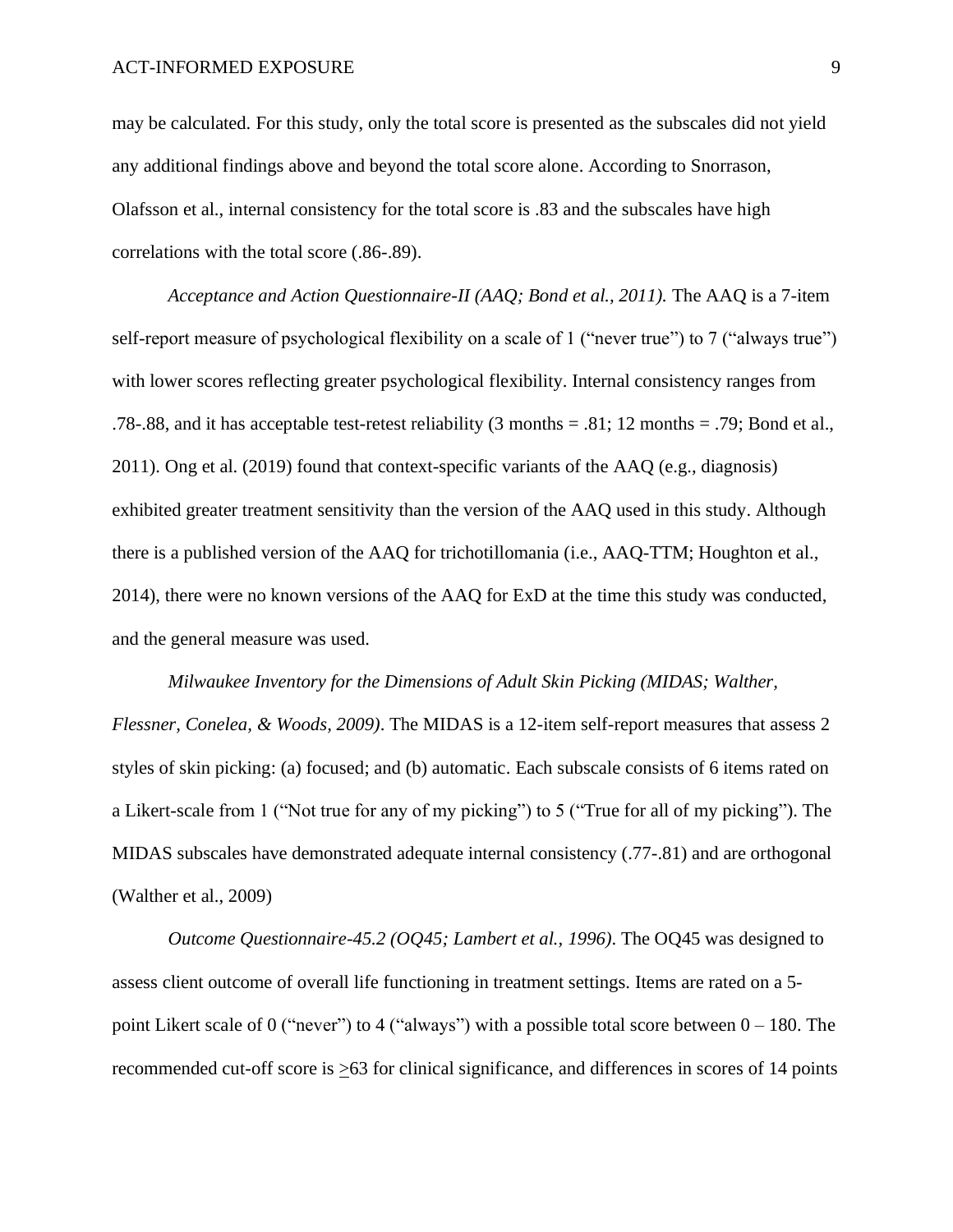may be calculated. For this study, only the total score is presented as the subscales did not yield any additional findings above and beyond the total score alone. According to Snorrason, Olafsson et al., internal consistency for the total score is .83 and the subscales have high correlations with the total score (.86-.89).

*Acceptance and Action Questionnaire-II (AAQ; Bond et al., 2011).* The AAQ is a 7-item self-report measure of psychological flexibility on a scale of 1 ("never true") to 7 ("always true") with lower scores reflecting greater psychological flexibility. Internal consistency ranges from .78-.88, and it has acceptable test-retest reliability (3 months = .81; 12 months = .79; Bond et al., 2011). Ong et al. (2019) found that context-specific variants of the AAQ (e.g., diagnosis) exhibited greater treatment sensitivity than the version of the AAQ used in this study. Although there is a published version of the AAQ for trichotillomania (i.e., AAQ-TTM; Houghton et al., 2014), there were no known versions of the AAQ for ExD at the time this study was conducted, and the general measure was used.

*Milwaukee Inventory for the Dimensions of Adult Skin Picking (MIDAS; Walther, Flessner, Conelea, & Woods, 2009)*. The MIDAS is a 12-item self-report measures that assess 2 styles of skin picking: (a) focused; and (b) automatic. Each subscale consists of 6 items rated on a Likert-scale from 1 ("Not true for any of my picking") to 5 ("True for all of my picking"). The MIDAS subscales have demonstrated adequate internal consistency (.77-.81) and are orthogonal (Walther et al., 2009)

*Outcome Questionnaire-45.2 (OQ45; Lambert et al., 1996)*. The OQ45 was designed to assess client outcome of overall life functioning in treatment settings. Items are rated on a 5 point Likert scale of 0 ("never") to 4 ("always") with a possible total score between  $0 - 180$ . The recommended cut-off score is >63 for clinical significance, and differences in scores of 14 points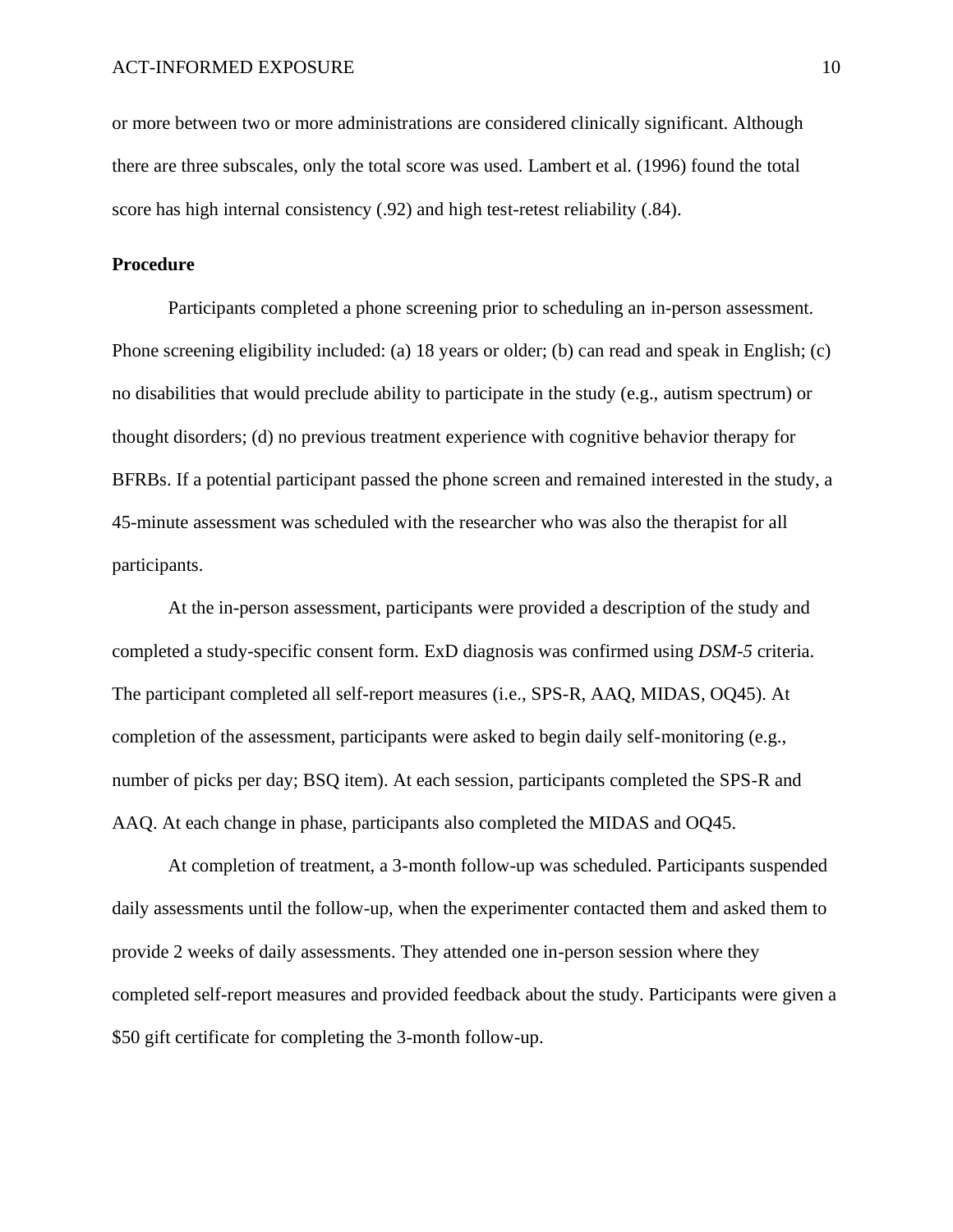or more between two or more administrations are considered clinically significant. Although there are three subscales, only the total score was used. Lambert et al. (1996) found the total score has high internal consistency (.92) and high test-retest reliability (.84).

### **Procedure**

Participants completed a phone screening prior to scheduling an in-person assessment. Phone screening eligibility included: (a) 18 years or older; (b) can read and speak in English; (c) no disabilities that would preclude ability to participate in the study (e.g., autism spectrum) or thought disorders; (d) no previous treatment experience with cognitive behavior therapy for BFRBs. If a potential participant passed the phone screen and remained interested in the study, a 45-minute assessment was scheduled with the researcher who was also the therapist for all participants.

At the in-person assessment, participants were provided a description of the study and completed a study-specific consent form. ExD diagnosis was confirmed using *DSM-5* criteria. The participant completed all self-report measures (i.e., SPS-R, AAQ, MIDAS, OQ45). At completion of the assessment, participants were asked to begin daily self-monitoring (e.g., number of picks per day; BSQ item). At each session, participants completed the SPS-R and AAQ. At each change in phase, participants also completed the MIDAS and OQ45.

At completion of treatment, a 3-month follow-up was scheduled. Participants suspended daily assessments until the follow-up, when the experimenter contacted them and asked them to provide 2 weeks of daily assessments. They attended one in-person session where they completed self-report measures and provided feedback about the study. Participants were given a \$50 gift certificate for completing the 3-month follow-up.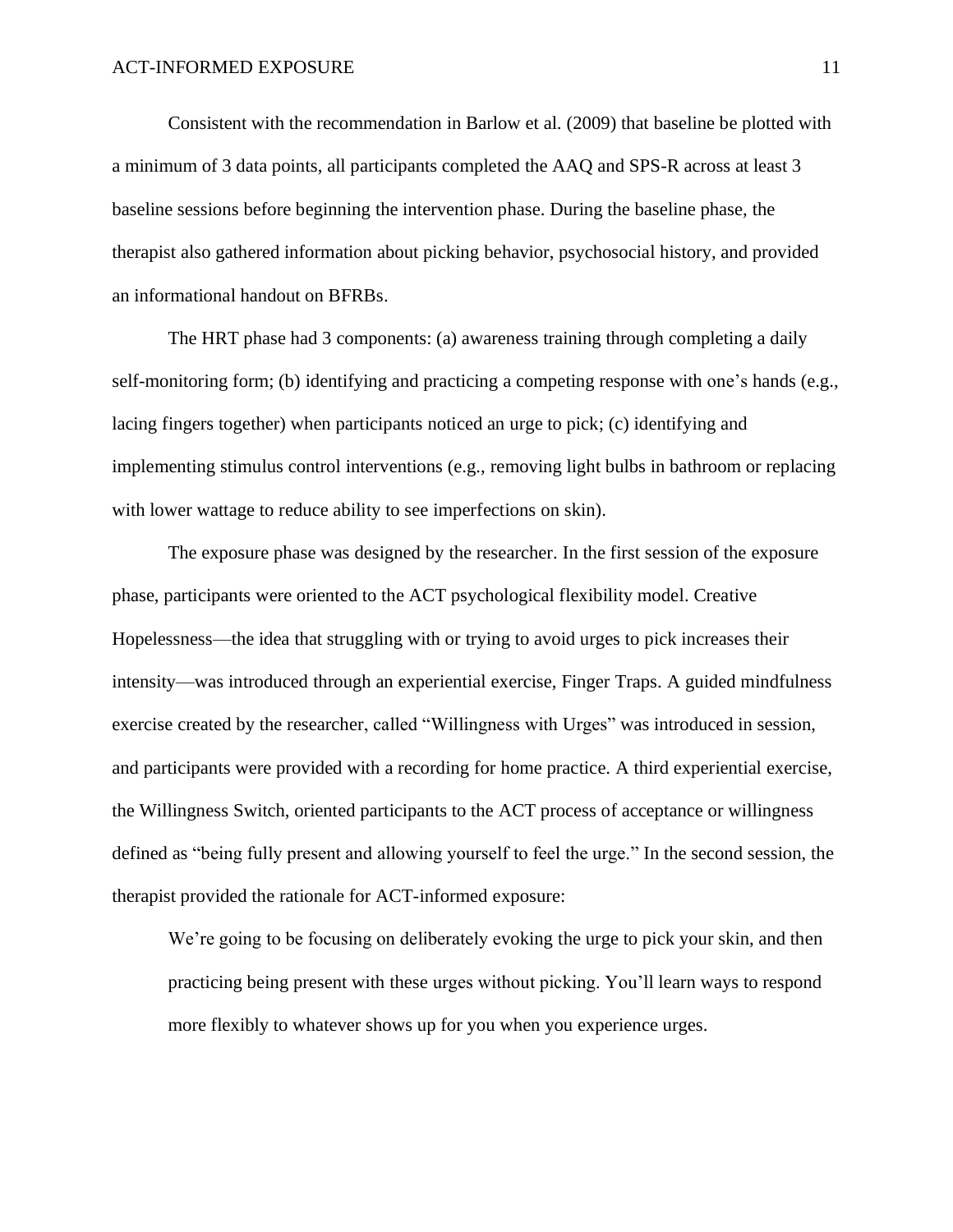Consistent with the recommendation in Barlow et al. (2009) that baseline be plotted with a minimum of 3 data points, all participants completed the AAQ and SPS-R across at least 3 baseline sessions before beginning the intervention phase. During the baseline phase, the therapist also gathered information about picking behavior, psychosocial history, and provided an informational handout on BFRBs.

The HRT phase had 3 components: (a) awareness training through completing a daily self-monitoring form; (b) identifying and practicing a competing response with one's hands (e.g., lacing fingers together) when participants noticed an urge to pick; (c) identifying and implementing stimulus control interventions (e.g., removing light bulbs in bathroom or replacing with lower wattage to reduce ability to see imperfections on skin).

The exposure phase was designed by the researcher. In the first session of the exposure phase, participants were oriented to the ACT psychological flexibility model. Creative Hopelessness—the idea that struggling with or trying to avoid urges to pick increases their intensity—was introduced through an experiential exercise, Finger Traps. A guided mindfulness exercise created by the researcher, called "Willingness with Urges" was introduced in session, and participants were provided with a recording for home practice. A third experiential exercise, the Willingness Switch, oriented participants to the ACT process of acceptance or willingness defined as "being fully present and allowing yourself to feel the urge." In the second session, the therapist provided the rationale for ACT-informed exposure:

We're going to be focusing on deliberately evoking the urge to pick your skin, and then practicing being present with these urges without picking. You'll learn ways to respond more flexibly to whatever shows up for you when you experience urges.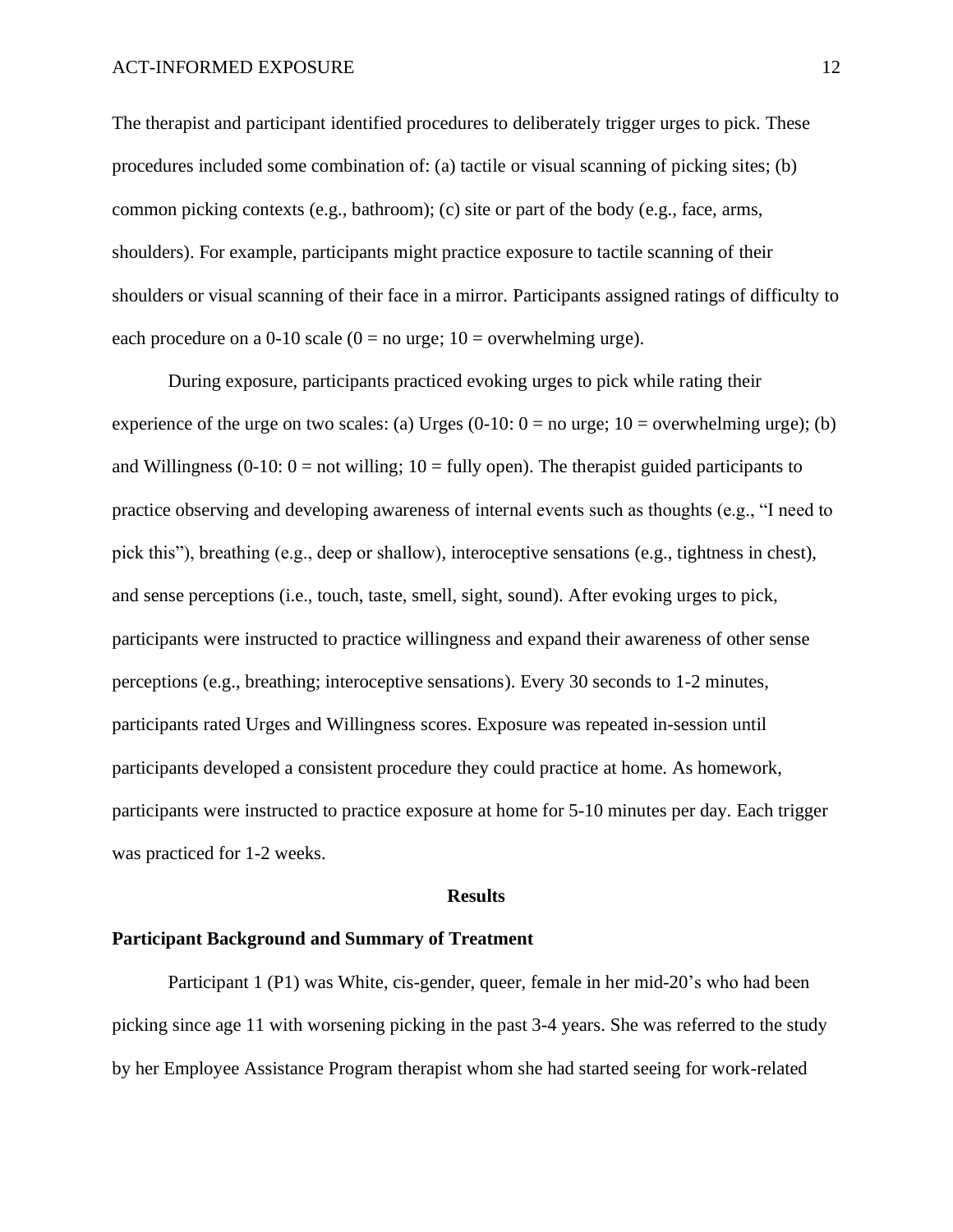The therapist and participant identified procedures to deliberately trigger urges to pick. These procedures included some combination of: (a) tactile or visual scanning of picking sites; (b) common picking contexts (e.g., bathroom); (c) site or part of the body (e.g., face, arms, shoulders). For example, participants might practice exposure to tactile scanning of their shoulders or visual scanning of their face in a mirror. Participants assigned ratings of difficulty to each procedure on a 0-10 scale ( $0 =$  no urge; 10 = overwhelming urge).

During exposure, participants practiced evoking urges to pick while rating their experience of the urge on two scales: (a) Urges  $(0-10: 0 =$  no urge;  $10 =$  overwhelming urge); (b) and Willingness (0-10:  $0 =$  not willing; 10 = fully open). The therapist guided participants to practice observing and developing awareness of internal events such as thoughts (e.g., "I need to pick this"), breathing (e.g., deep or shallow), interoceptive sensations (e.g., tightness in chest), and sense perceptions (i.e., touch, taste, smell, sight, sound). After evoking urges to pick, participants were instructed to practice willingness and expand their awareness of other sense perceptions (e.g., breathing; interoceptive sensations). Every 30 seconds to 1-2 minutes, participants rated Urges and Willingness scores. Exposure was repeated in-session until participants developed a consistent procedure they could practice at home. As homework, participants were instructed to practice exposure at home for 5-10 minutes per day. Each trigger was practiced for 1-2 weeks.

#### **Results**

### **Participant Background and Summary of Treatment**

Participant 1 (P1) was White, cis-gender, queer, female in her mid-20's who had been picking since age 11 with worsening picking in the past 3-4 years. She was referred to the study by her Employee Assistance Program therapist whom she had started seeing for work-related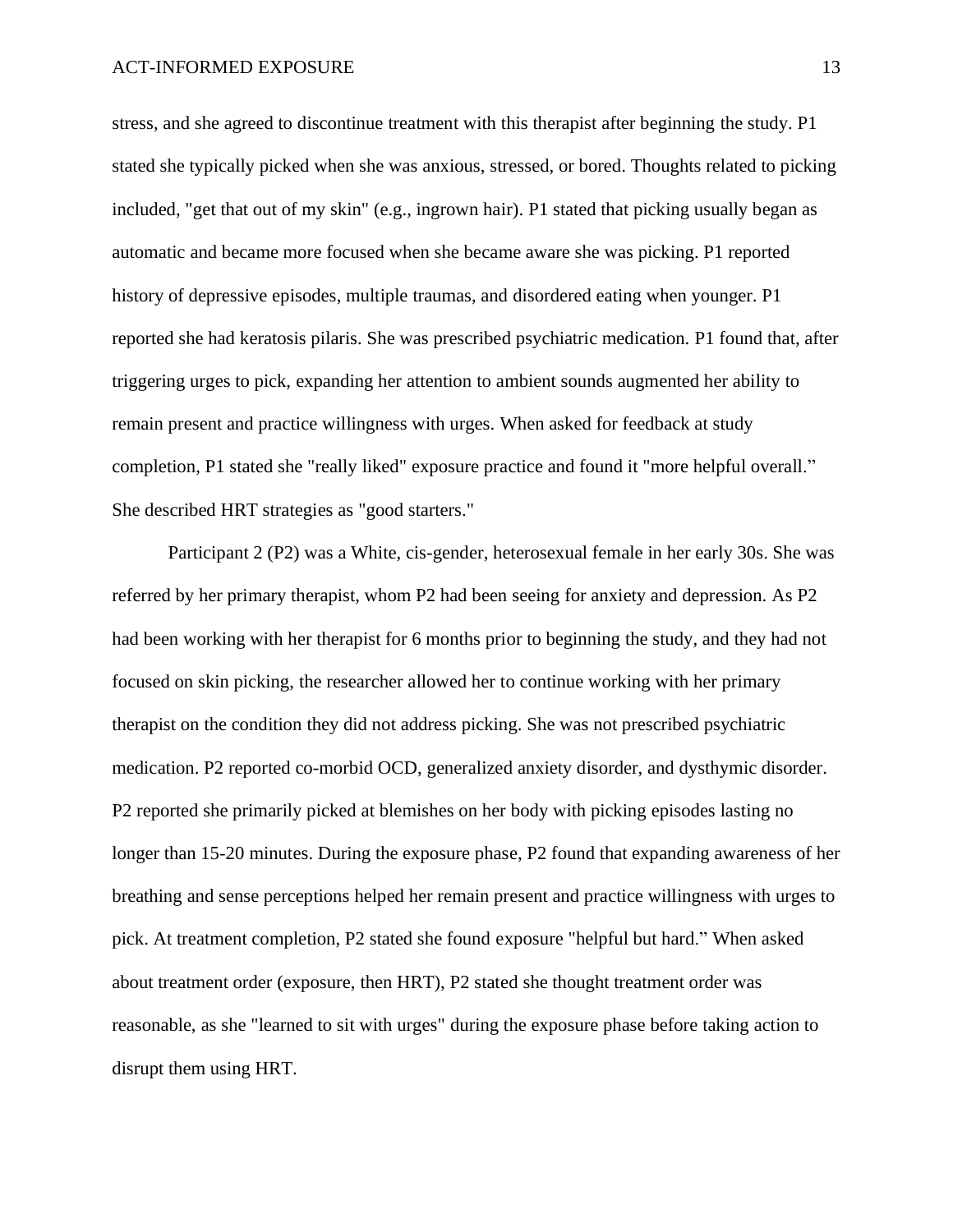stress, and she agreed to discontinue treatment with this therapist after beginning the study. P1 stated she typically picked when she was anxious, stressed, or bored. Thoughts related to picking included, "get that out of my skin" (e.g., ingrown hair). P1 stated that picking usually began as automatic and became more focused when she became aware she was picking. P1 reported history of depressive episodes, multiple traumas, and disordered eating when younger. P1 reported she had keratosis pilaris. She was prescribed psychiatric medication. P1 found that, after triggering urges to pick, expanding her attention to ambient sounds augmented her ability to remain present and practice willingness with urges. When asked for feedback at study completion, P1 stated she "really liked" exposure practice and found it "more helpful overall." She described HRT strategies as "good starters."

Participant 2 (P2) was a White, cis-gender, heterosexual female in her early 30s. She was referred by her primary therapist, whom P2 had been seeing for anxiety and depression. As P2 had been working with her therapist for 6 months prior to beginning the study, and they had not focused on skin picking, the researcher allowed her to continue working with her primary therapist on the condition they did not address picking. She was not prescribed psychiatric medication. P2 reported co-morbid OCD, generalized anxiety disorder, and dysthymic disorder. P2 reported she primarily picked at blemishes on her body with picking episodes lasting no longer than 15-20 minutes. During the exposure phase, P2 found that expanding awareness of her breathing and sense perceptions helped her remain present and practice willingness with urges to pick. At treatment completion, P2 stated she found exposure "helpful but hard." When asked about treatment order (exposure, then HRT), P2 stated she thought treatment order was reasonable, as she "learned to sit with urges" during the exposure phase before taking action to disrupt them using HRT.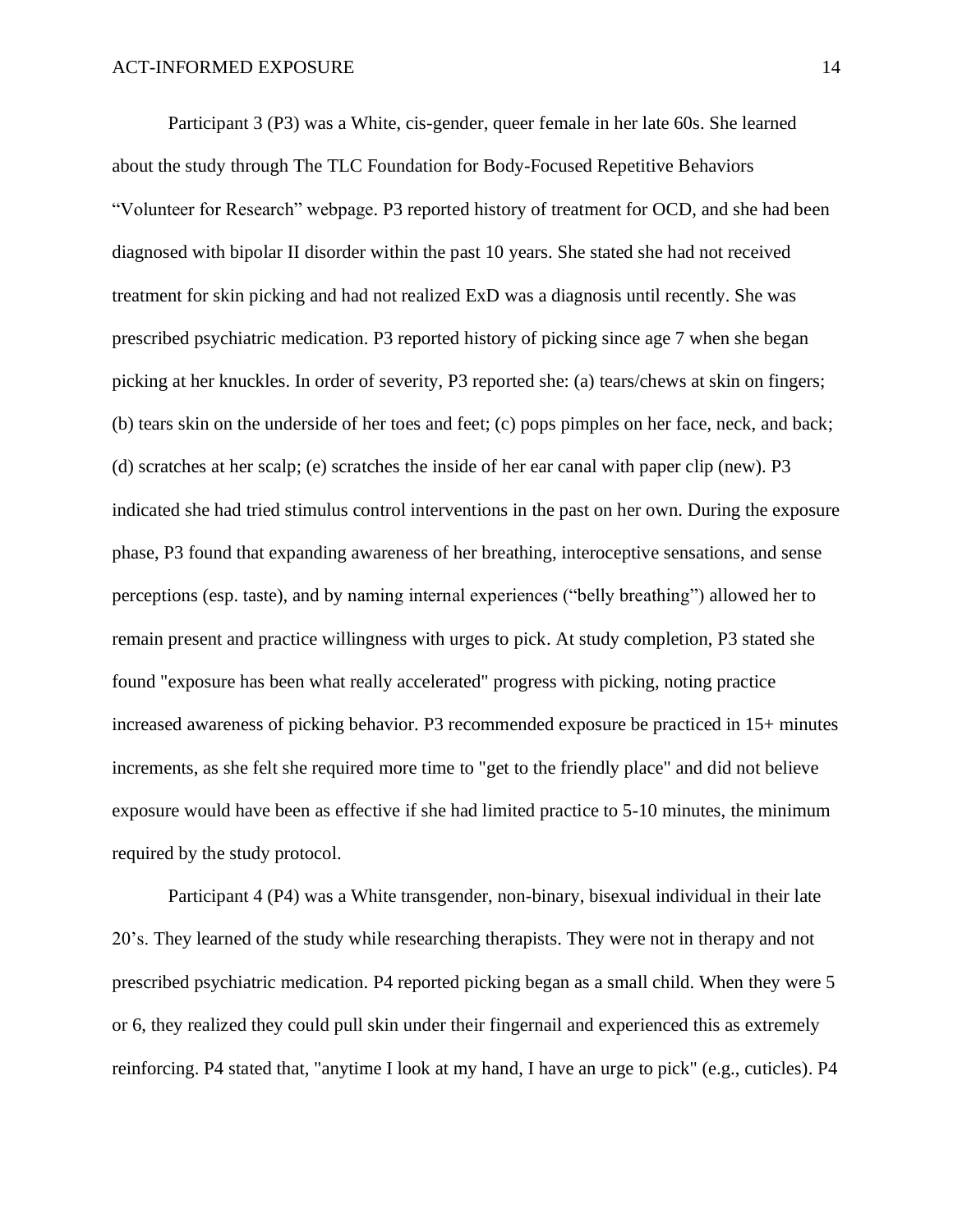Participant 3 (P3) was a White, cis-gender, queer female in her late 60s. She learned about the study through The TLC Foundation for Body-Focused Repetitive Behaviors "Volunteer for Research" webpage. P3 reported history of treatment for OCD, and she had been diagnosed with bipolar II disorder within the past 10 years. She stated she had not received treatment for skin picking and had not realized ExD was a diagnosis until recently. She was prescribed psychiatric medication. P3 reported history of picking since age 7 when she began picking at her knuckles. In order of severity, P3 reported she: (a) tears/chews at skin on fingers; (b) tears skin on the underside of her toes and feet; (c) pops pimples on her face, neck, and back; (d) scratches at her scalp; (e) scratches the inside of her ear canal with paper clip (new). P3 indicated she had tried stimulus control interventions in the past on her own. During the exposure phase, P3 found that expanding awareness of her breathing, interoceptive sensations, and sense perceptions (esp. taste), and by naming internal experiences ("belly breathing") allowed her to remain present and practice willingness with urges to pick. At study completion, P3 stated she found "exposure has been what really accelerated" progress with picking, noting practice increased awareness of picking behavior. P3 recommended exposure be practiced in 15+ minutes increments, as she felt she required more time to "get to the friendly place" and did not believe exposure would have been as effective if she had limited practice to 5-10 minutes, the minimum required by the study protocol.

Participant 4 (P4) was a White transgender, non-binary, bisexual individual in their late 20's. They learned of the study while researching therapists. They were not in therapy and not prescribed psychiatric medication. P4 reported picking began as a small child. When they were 5 or 6, they realized they could pull skin under their fingernail and experienced this as extremely reinforcing. P4 stated that, "anytime I look at my hand, I have an urge to pick" (e.g., cuticles). P4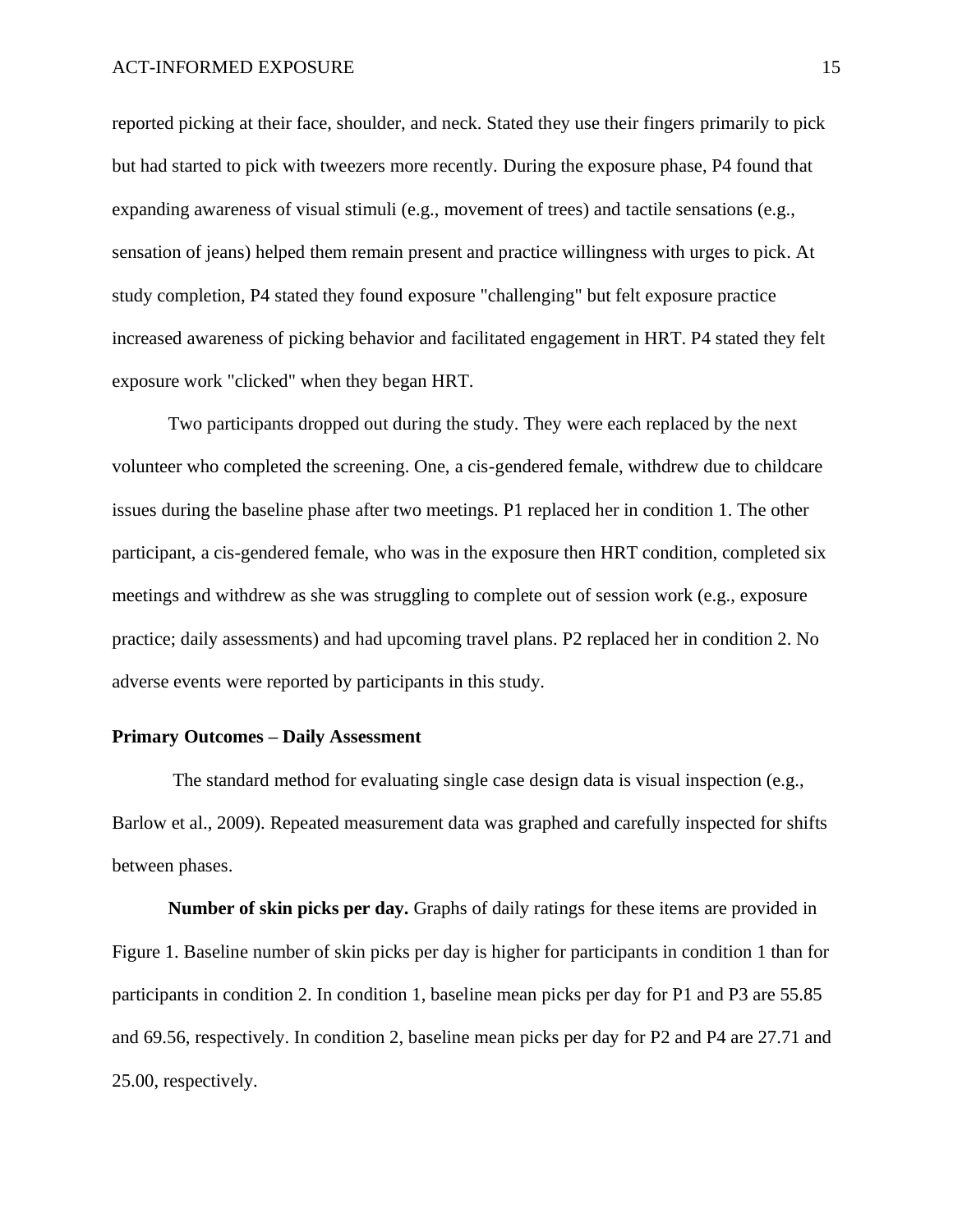reported picking at their face, shoulder, and neck. Stated they use their fingers primarily to pick but had started to pick with tweezers more recently. During the exposure phase, P4 found that expanding awareness of visual stimuli (e.g., movement of trees) and tactile sensations (e.g., sensation of jeans) helped them remain present and practice willingness with urges to pick. At study completion, P4 stated they found exposure "challenging" but felt exposure practice increased awareness of picking behavior and facilitated engagement in HRT. P4 stated they felt exposure work "clicked" when they began HRT.

Two participants dropped out during the study. They were each replaced by the next volunteer who completed the screening. One, a cis-gendered female, withdrew due to childcare issues during the baseline phase after two meetings. P1 replaced her in condition 1. The other participant, a cis-gendered female, who was in the exposure then HRT condition, completed six meetings and withdrew as she was struggling to complete out of session work (e.g., exposure practice; daily assessments) and had upcoming travel plans. P2 replaced her in condition 2. No adverse events were reported by participants in this study.

## **Primary Outcomes – Daily Assessment**

The standard method for evaluating single case design data is visual inspection (e.g., Barlow et al., 2009). Repeated measurement data was graphed and carefully inspected for shifts between phases.

**Number of skin picks per day.** Graphs of daily ratings for these items are provided in Figure 1. Baseline number of skin picks per day is higher for participants in condition 1 than for participants in condition 2. In condition 1, baseline mean picks per day for P1 and P3 are 55.85 and 69.56, respectively. In condition 2, baseline mean picks per day for P2 and P4 are 27.71 and 25.00, respectively.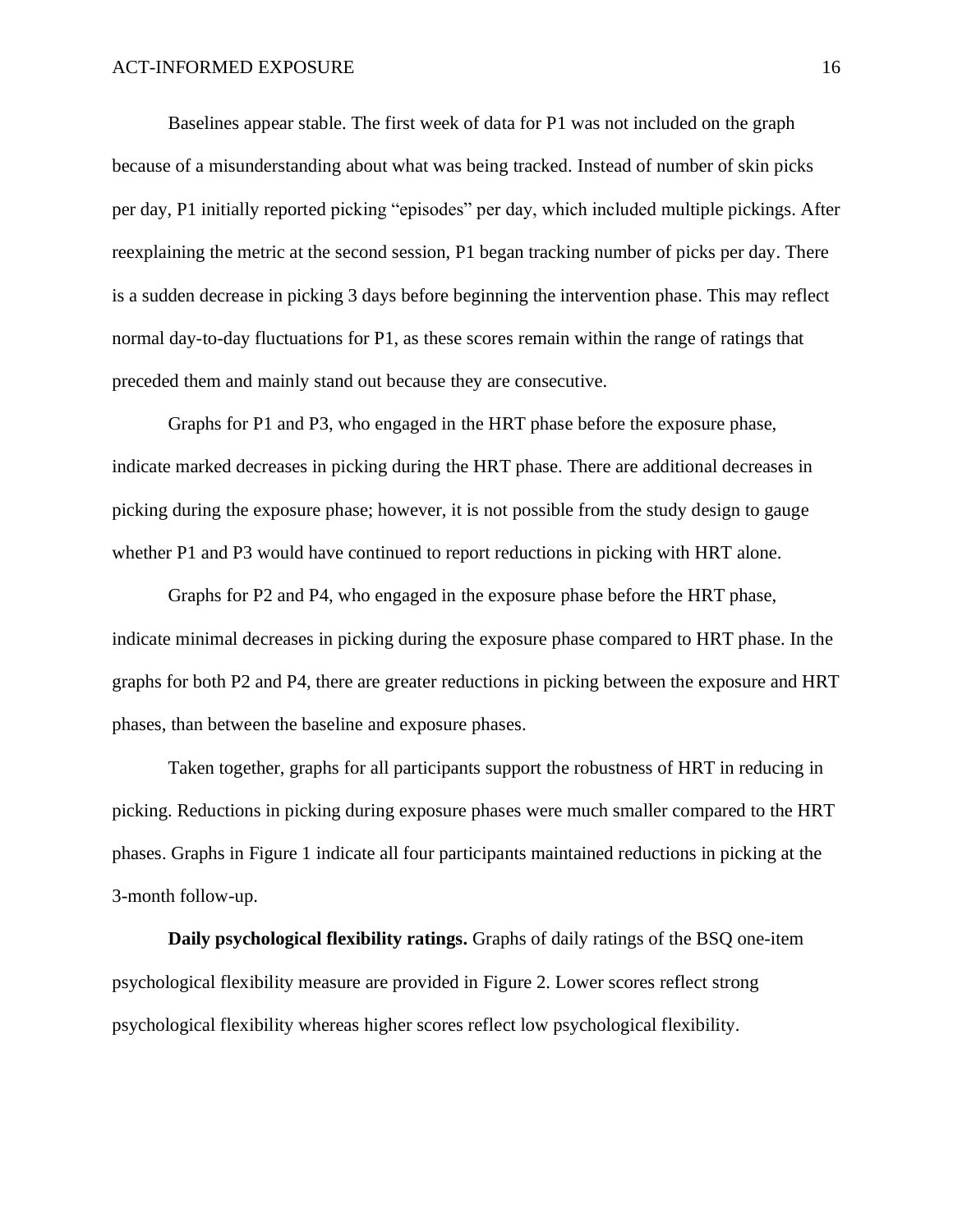Baselines appear stable. The first week of data for P1 was not included on the graph because of a misunderstanding about what was being tracked. Instead of number of skin picks per day, P1 initially reported picking "episodes" per day, which included multiple pickings. After reexplaining the metric at the second session, P1 began tracking number of picks per day. There is a sudden decrease in picking 3 days before beginning the intervention phase. This may reflect normal day-to-day fluctuations for P1, as these scores remain within the range of ratings that preceded them and mainly stand out because they are consecutive.

Graphs for P1 and P3, who engaged in the HRT phase before the exposure phase, indicate marked decreases in picking during the HRT phase. There are additional decreases in picking during the exposure phase; however, it is not possible from the study design to gauge whether P1 and P3 would have continued to report reductions in picking with HRT alone.

Graphs for P2 and P4, who engaged in the exposure phase before the HRT phase, indicate minimal decreases in picking during the exposure phase compared to HRT phase. In the graphs for both P2 and P4, there are greater reductions in picking between the exposure and HRT phases, than between the baseline and exposure phases.

Taken together, graphs for all participants support the robustness of HRT in reducing in picking. Reductions in picking during exposure phases were much smaller compared to the HRT phases. Graphs in Figure 1 indicate all four participants maintained reductions in picking at the 3-month follow-up.

**Daily psychological flexibility ratings.** Graphs of daily ratings of the BSQ one-item psychological flexibility measure are provided in Figure 2. Lower scores reflect strong psychological flexibility whereas higher scores reflect low psychological flexibility.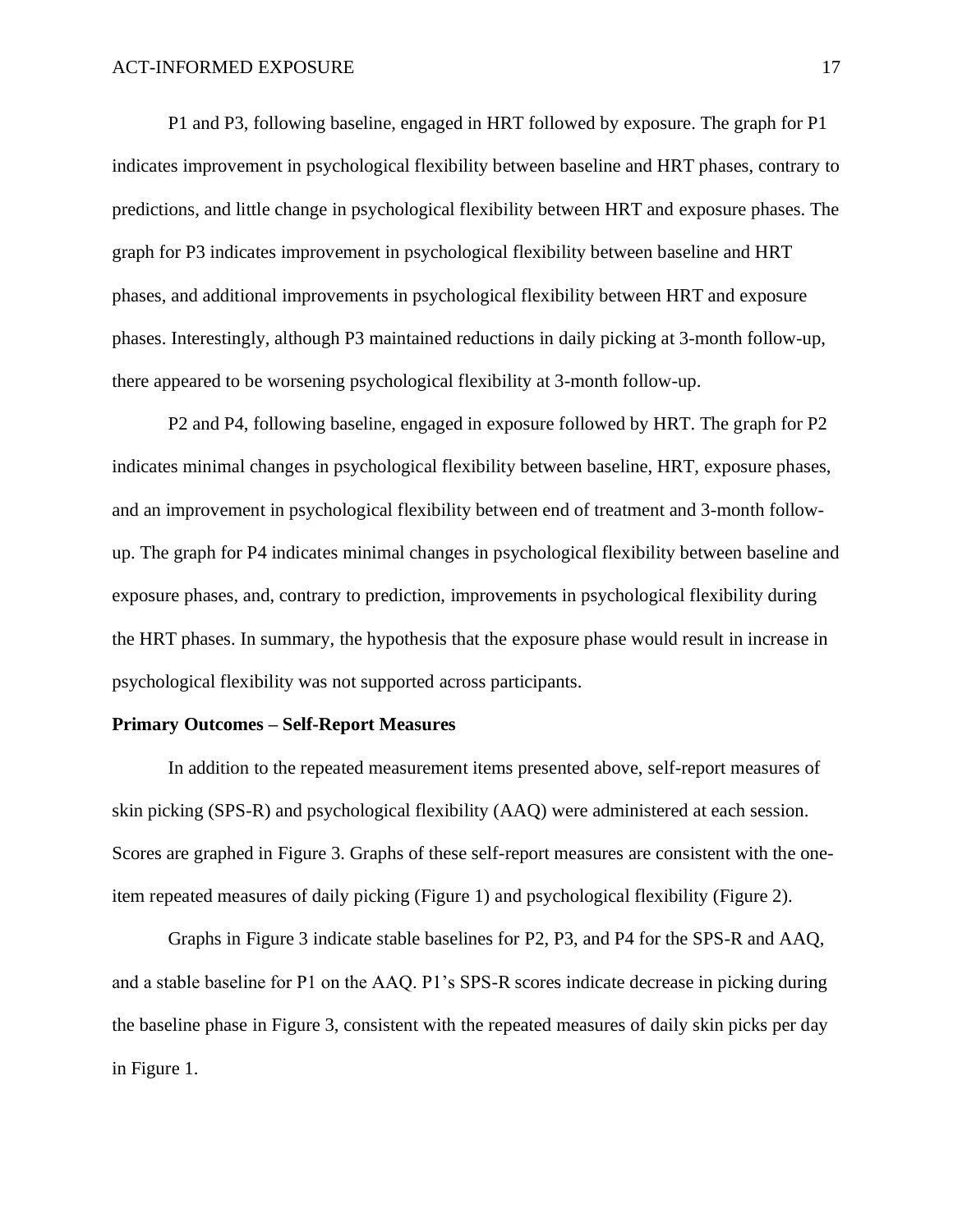P1 and P3, following baseline, engaged in HRT followed by exposure. The graph for P1 indicates improvement in psychological flexibility between baseline and HRT phases, contrary to predictions, and little change in psychological flexibility between HRT and exposure phases. The graph for P3 indicates improvement in psychological flexibility between baseline and HRT phases, and additional improvements in psychological flexibility between HRT and exposure phases. Interestingly, although P3 maintained reductions in daily picking at 3-month follow-up, there appeared to be worsening psychological flexibility at 3-month follow-up.

P2 and P4, following baseline, engaged in exposure followed by HRT. The graph for P2 indicates minimal changes in psychological flexibility between baseline, HRT, exposure phases, and an improvement in psychological flexibility between end of treatment and 3-month followup. The graph for P4 indicates minimal changes in psychological flexibility between baseline and exposure phases, and, contrary to prediction, improvements in psychological flexibility during the HRT phases. In summary, the hypothesis that the exposure phase would result in increase in psychological flexibility was not supported across participants.

#### **Primary Outcomes – Self-Report Measures**

In addition to the repeated measurement items presented above, self-report measures of skin picking (SPS-R) and psychological flexibility (AAQ) were administered at each session. Scores are graphed in Figure 3. Graphs of these self-report measures are consistent with the oneitem repeated measures of daily picking (Figure 1) and psychological flexibility (Figure 2).

Graphs in Figure 3 indicate stable baselines for P2, P3, and P4 for the SPS-R and AAQ, and a stable baseline for P1 on the AAQ. P1's SPS-R scores indicate decrease in picking during the baseline phase in Figure 3, consistent with the repeated measures of daily skin picks per day in Figure 1.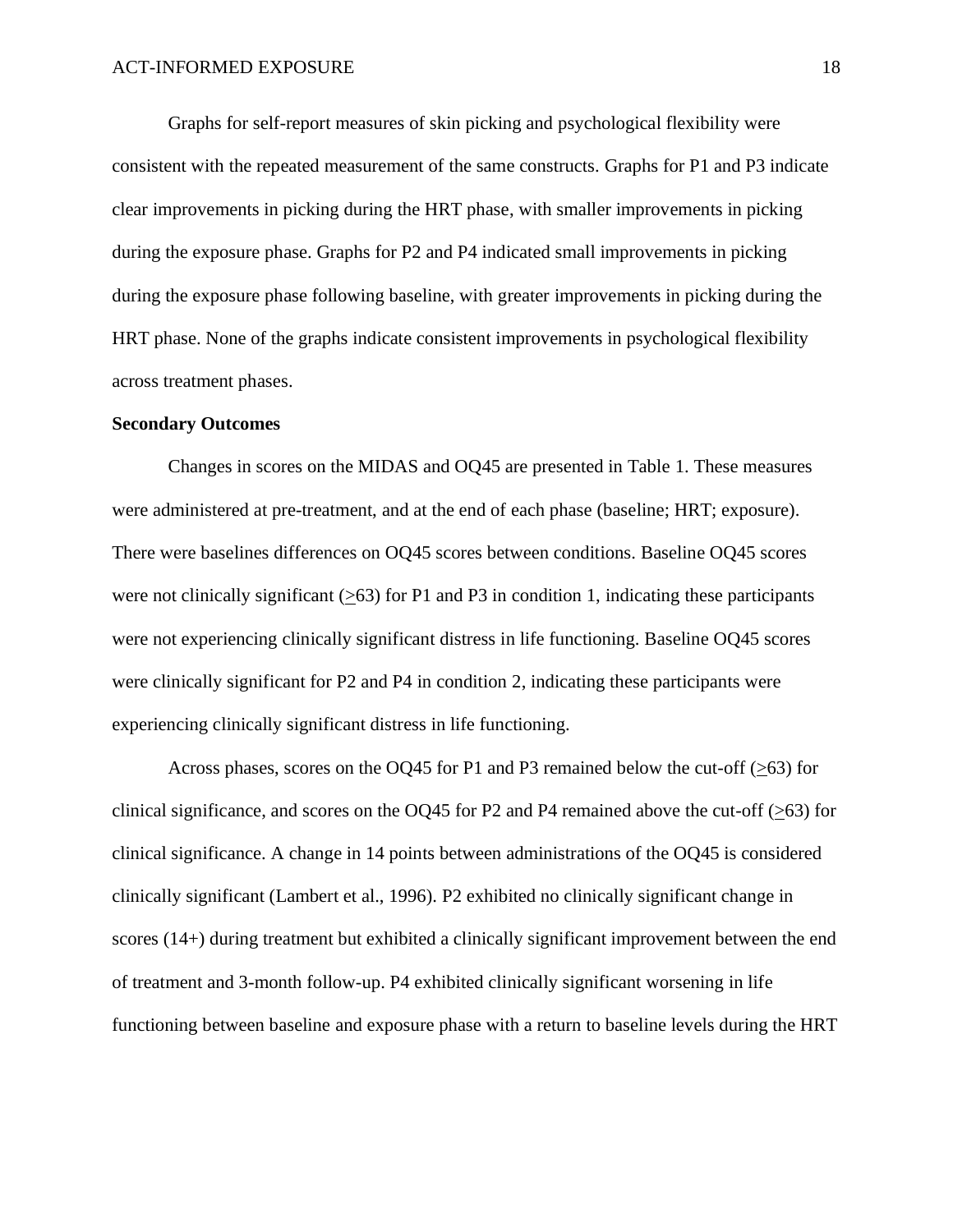Graphs for self-report measures of skin picking and psychological flexibility were consistent with the repeated measurement of the same constructs. Graphs for P1 and P3 indicate clear improvements in picking during the HRT phase, with smaller improvements in picking during the exposure phase. Graphs for P2 and P4 indicated small improvements in picking during the exposure phase following baseline, with greater improvements in picking during the HRT phase. None of the graphs indicate consistent improvements in psychological flexibility across treatment phases.

### **Secondary Outcomes**

Changes in scores on the MIDAS and OQ45 are presented in Table 1. These measures were administered at pre-treatment, and at the end of each phase (baseline; HRT; exposure). There were baselines differences on OQ45 scores between conditions. Baseline OQ45 scores were not clinically significant  $(563)$  for P1 and P3 in condition 1, indicating these participants were not experiencing clinically significant distress in life functioning. Baseline OQ45 scores were clinically significant for P2 and P4 in condition 2, indicating these participants were experiencing clinically significant distress in life functioning.

Across phases, scores on the OQ45 for P1 and P3 remained below the cut-off ( $\geq 63$ ) for clinical significance, and scores on the OQ45 for P2 and P4 remained above the cut-off ( $\geq 63$ ) for clinical significance. A change in 14 points between administrations of the OQ45 is considered clinically significant (Lambert et al., 1996). P2 exhibited no clinically significant change in scores (14+) during treatment but exhibited a clinically significant improvement between the end of treatment and 3-month follow-up. P4 exhibited clinically significant worsening in life functioning between baseline and exposure phase with a return to baseline levels during the HRT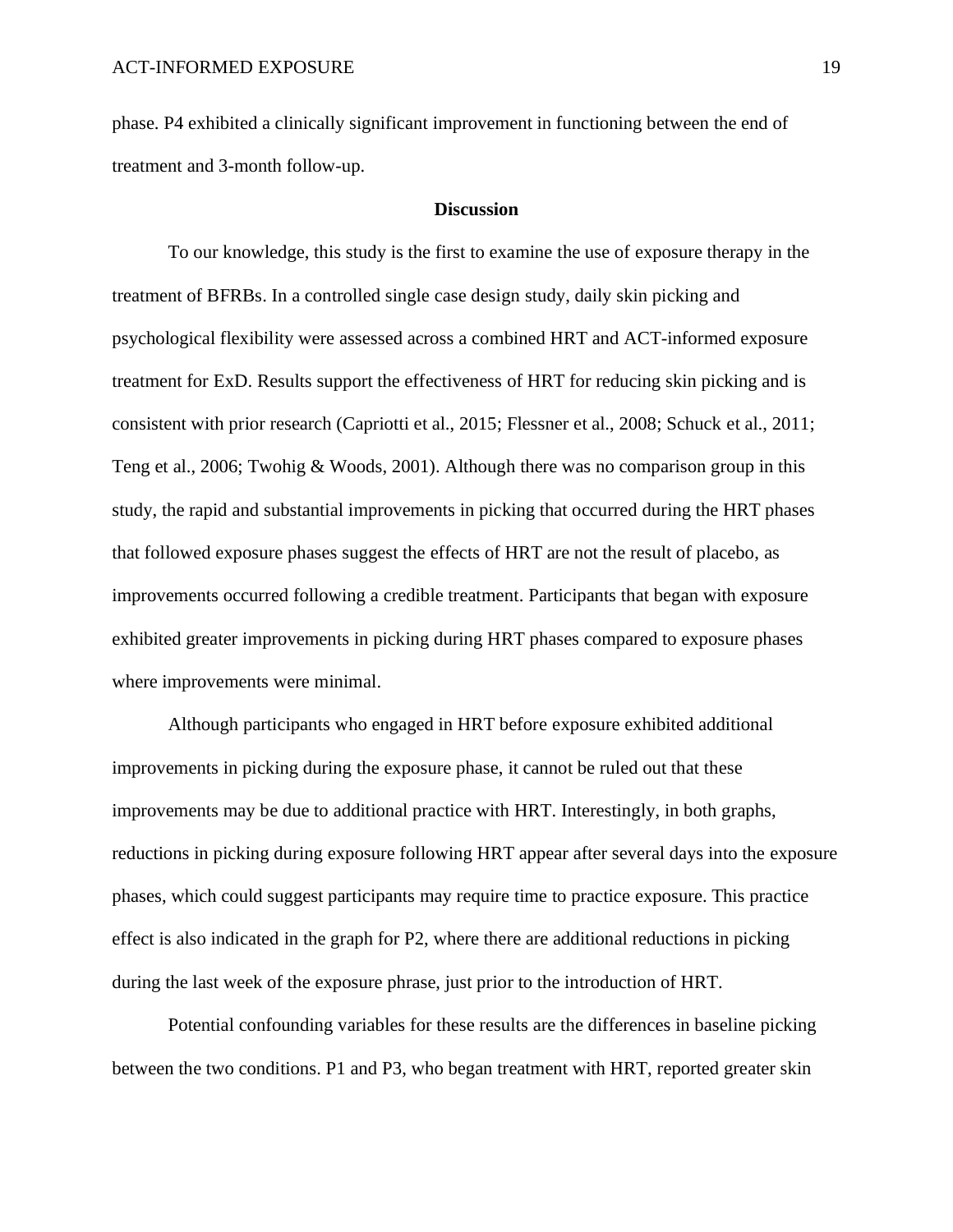phase. P4 exhibited a clinically significant improvement in functioning between the end of treatment and 3-month follow-up.

### **Discussion**

To our knowledge, this study is the first to examine the use of exposure therapy in the treatment of BFRBs. In a controlled single case design study, daily skin picking and psychological flexibility were assessed across a combined HRT and ACT-informed exposure treatment for ExD. Results support the effectiveness of HRT for reducing skin picking and is consistent with prior research (Capriotti et al., 2015; Flessner et al., 2008; Schuck et al., 2011; Teng et al., 2006; Twohig & Woods, 2001). Although there was no comparison group in this study, the rapid and substantial improvements in picking that occurred during the HRT phases that followed exposure phases suggest the effects of HRT are not the result of placebo, as improvements occurred following a credible treatment. Participants that began with exposure exhibited greater improvements in picking during HRT phases compared to exposure phases where improvements were minimal.

Although participants who engaged in HRT before exposure exhibited additional improvements in picking during the exposure phase, it cannot be ruled out that these improvements may be due to additional practice with HRT. Interestingly, in both graphs, reductions in picking during exposure following HRT appear after several days into the exposure phases, which could suggest participants may require time to practice exposure. This practice effect is also indicated in the graph for P2, where there are additional reductions in picking during the last week of the exposure phrase, just prior to the introduction of HRT.

Potential confounding variables for these results are the differences in baseline picking between the two conditions. P1 and P3, who began treatment with HRT, reported greater skin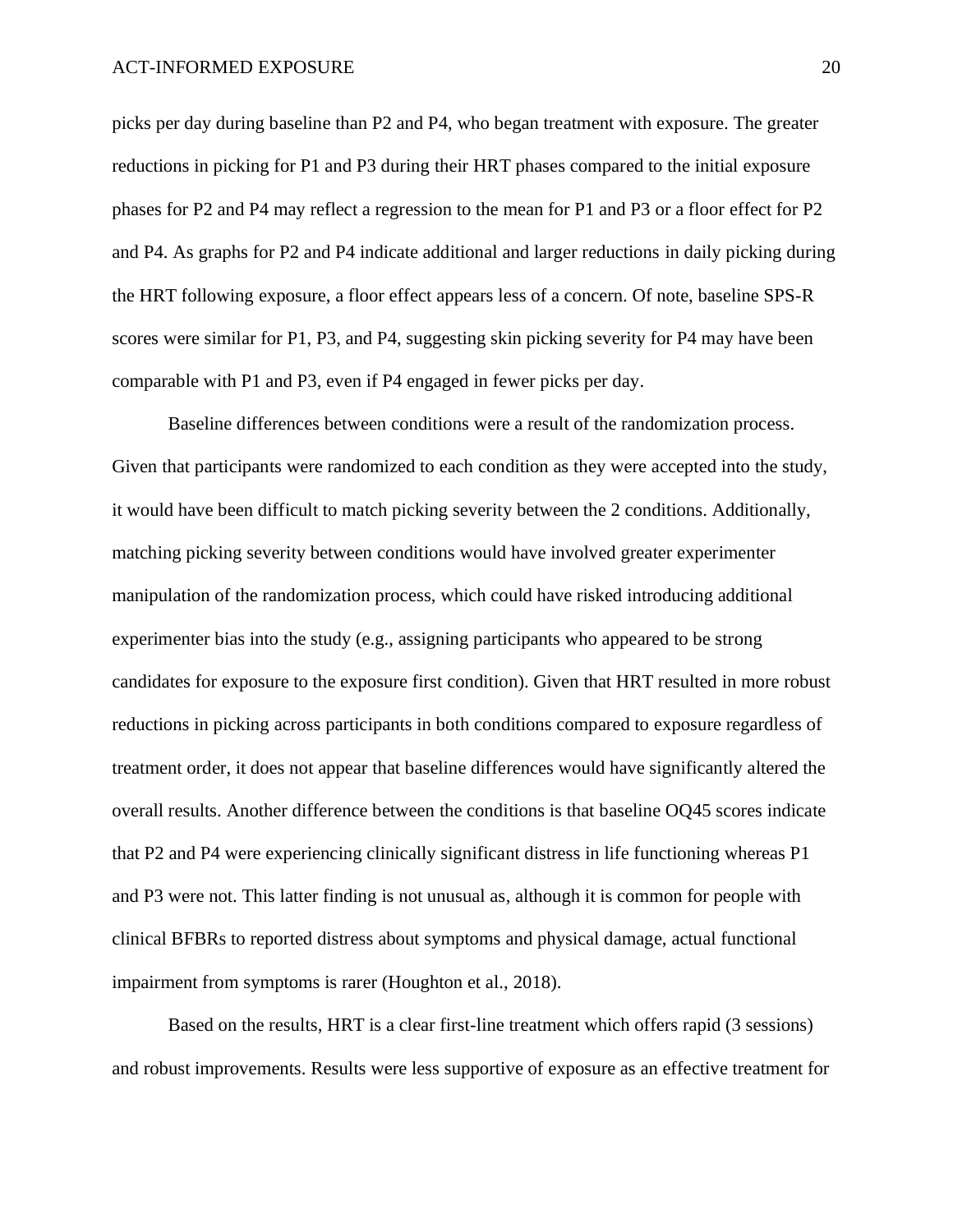picks per day during baseline than P2 and P4, who began treatment with exposure. The greater reductions in picking for P1 and P3 during their HRT phases compared to the initial exposure phases for P2 and P4 may reflect a regression to the mean for P1 and P3 or a floor effect for P2 and P4. As graphs for P2 and P4 indicate additional and larger reductions in daily picking during the HRT following exposure, a floor effect appears less of a concern. Of note, baseline SPS-R scores were similar for P1, P3, and P4, suggesting skin picking severity for P4 may have been comparable with P1 and P3, even if P4 engaged in fewer picks per day.

Baseline differences between conditions were a result of the randomization process. Given that participants were randomized to each condition as they were accepted into the study, it would have been difficult to match picking severity between the 2 conditions. Additionally, matching picking severity between conditions would have involved greater experimenter manipulation of the randomization process, which could have risked introducing additional experimenter bias into the study (e.g., assigning participants who appeared to be strong candidates for exposure to the exposure first condition). Given that HRT resulted in more robust reductions in picking across participants in both conditions compared to exposure regardless of treatment order, it does not appear that baseline differences would have significantly altered the overall results. Another difference between the conditions is that baseline OQ45 scores indicate that P2 and P4 were experiencing clinically significant distress in life functioning whereas P1 and P3 were not. This latter finding is not unusual as, although it is common for people with clinical BFBRs to reported distress about symptoms and physical damage, actual functional impairment from symptoms is rarer (Houghton et al., 2018).

Based on the results, HRT is a clear first-line treatment which offers rapid (3 sessions) and robust improvements. Results were less supportive of exposure as an effective treatment for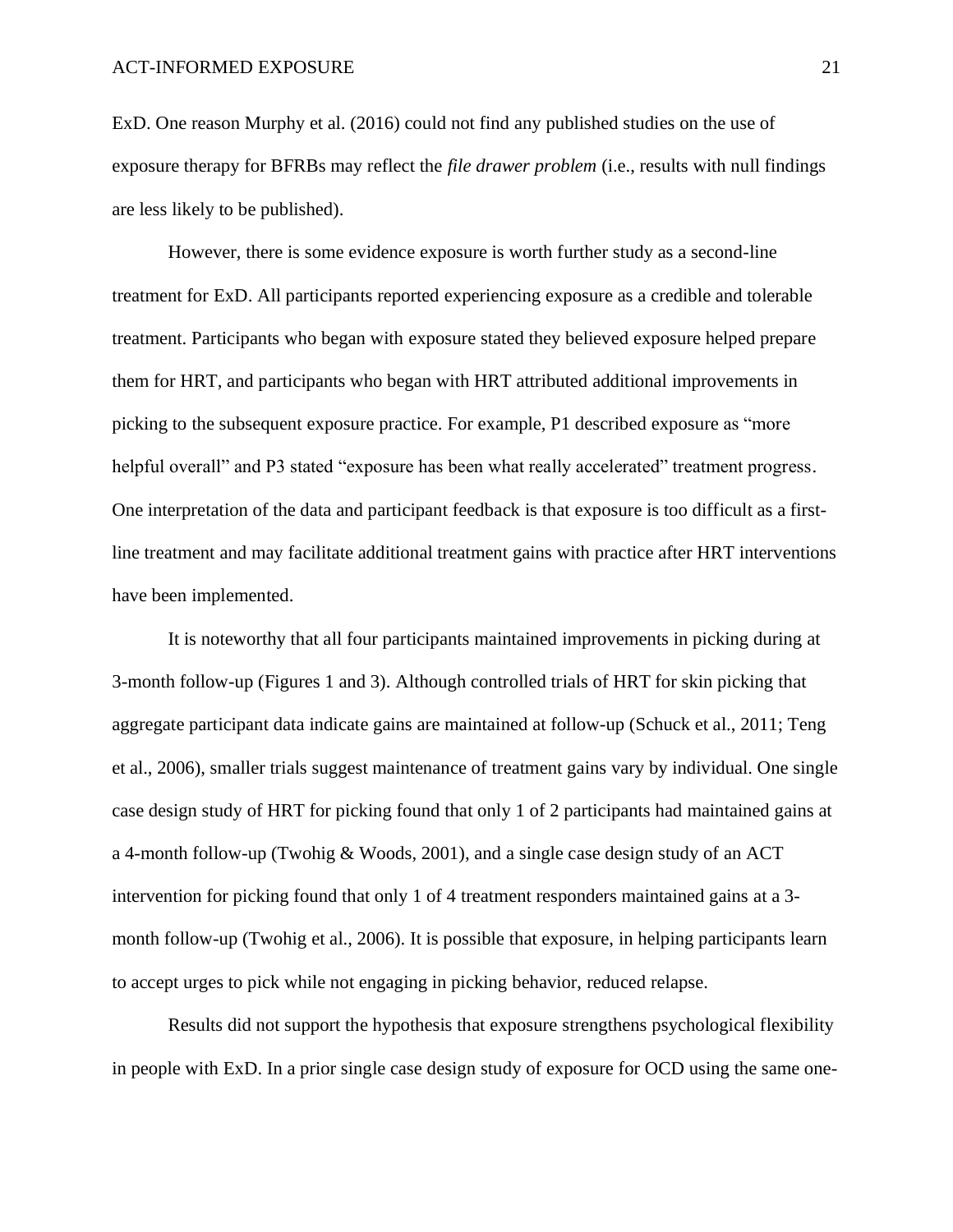ExD. One reason Murphy et al. (2016) could not find any published studies on the use of exposure therapy for BFRBs may reflect the *file drawer problem* (i.e., results with null findings are less likely to be published).

However, there is some evidence exposure is worth further study as a second-line treatment for ExD. All participants reported experiencing exposure as a credible and tolerable treatment. Participants who began with exposure stated they believed exposure helped prepare them for HRT, and participants who began with HRT attributed additional improvements in picking to the subsequent exposure practice. For example, P1 described exposure as "more helpful overall" and P3 stated "exposure has been what really accelerated" treatment progress. One interpretation of the data and participant feedback is that exposure is too difficult as a firstline treatment and may facilitate additional treatment gains with practice after HRT interventions have been implemented.

It is noteworthy that all four participants maintained improvements in picking during at 3-month follow-up (Figures 1 and 3). Although controlled trials of HRT for skin picking that aggregate participant data indicate gains are maintained at follow-up (Schuck et al., 2011; Teng et al., 2006), smaller trials suggest maintenance of treatment gains vary by individual. One single case design study of HRT for picking found that only 1 of 2 participants had maintained gains at a 4-month follow-up (Twohig & Woods, 2001), and a single case design study of an ACT intervention for picking found that only 1 of 4 treatment responders maintained gains at a 3 month follow-up (Twohig et al., 2006). It is possible that exposure, in helping participants learn to accept urges to pick while not engaging in picking behavior, reduced relapse.

Results did not support the hypothesis that exposure strengthens psychological flexibility in people with ExD. In a prior single case design study of exposure for OCD using the same one-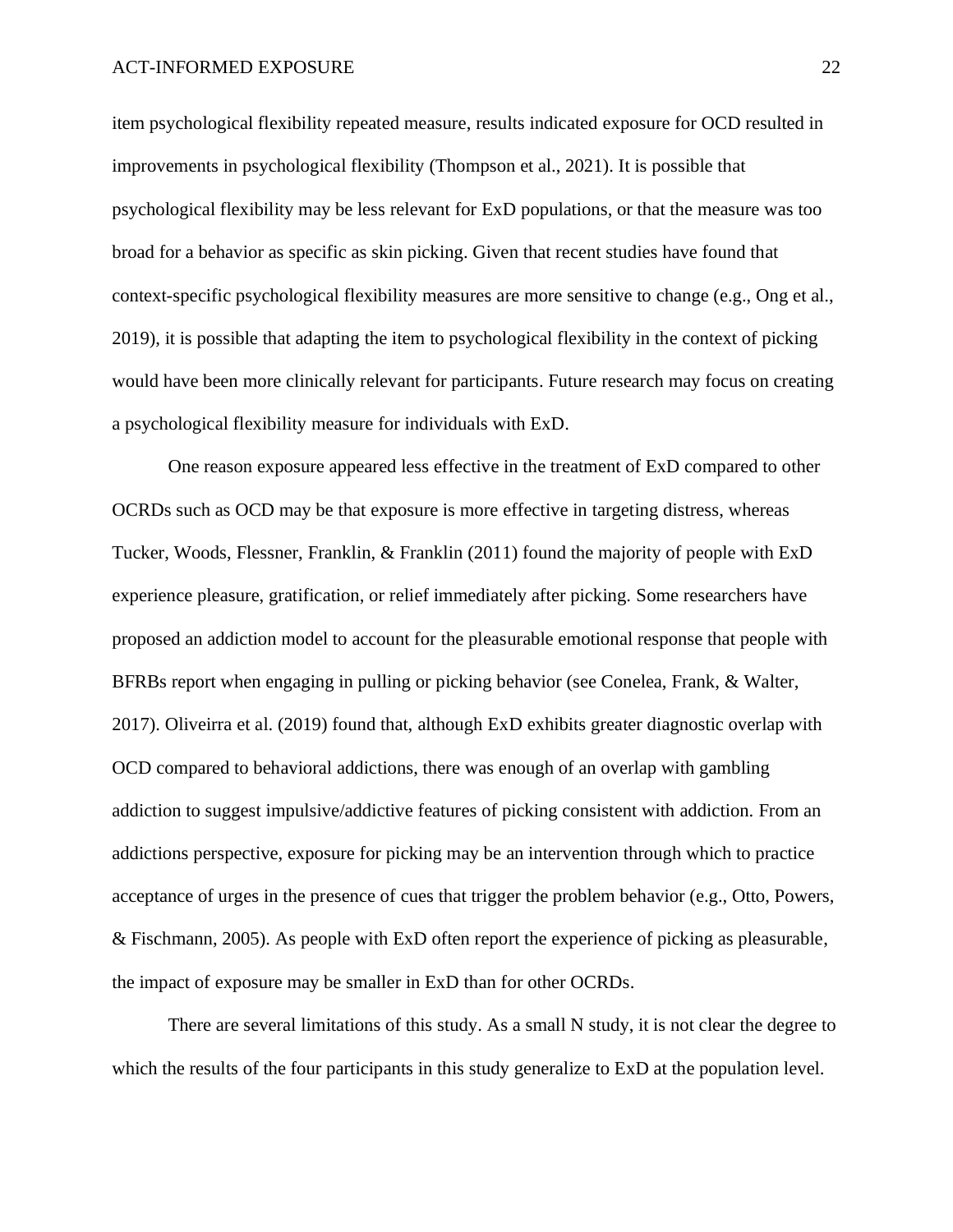item psychological flexibility repeated measure, results indicated exposure for OCD resulted in improvements in psychological flexibility (Thompson et al., 2021). It is possible that psychological flexibility may be less relevant for ExD populations, or that the measure was too broad for a behavior as specific as skin picking. Given that recent studies have found that context-specific psychological flexibility measures are more sensitive to change (e.g., Ong et al., 2019), it is possible that adapting the item to psychological flexibility in the context of picking would have been more clinically relevant for participants. Future research may focus on creating a psychological flexibility measure for individuals with ExD.

One reason exposure appeared less effective in the treatment of ExD compared to other OCRDs such as OCD may be that exposure is more effective in targeting distress, whereas Tucker, Woods, Flessner, Franklin, & Franklin (2011) found the majority of people with ExD experience pleasure, gratification, or relief immediately after picking. Some researchers have proposed an addiction model to account for the pleasurable emotional response that people with BFRBs report when engaging in pulling or picking behavior (see Conelea, Frank, & Walter, 2017). Oliveirra et al. (2019) found that, although ExD exhibits greater diagnostic overlap with OCD compared to behavioral addictions, there was enough of an overlap with gambling addiction to suggest impulsive/addictive features of picking consistent with addiction. From an addictions perspective, exposure for picking may be an intervention through which to practice acceptance of urges in the presence of cues that trigger the problem behavior (e.g., Otto, Powers, & Fischmann, 2005). As people with ExD often report the experience of picking as pleasurable, the impact of exposure may be smaller in ExD than for other OCRDs.

There are several limitations of this study. As a small N study, it is not clear the degree to which the results of the four participants in this study generalize to  $Exp$  at the population level.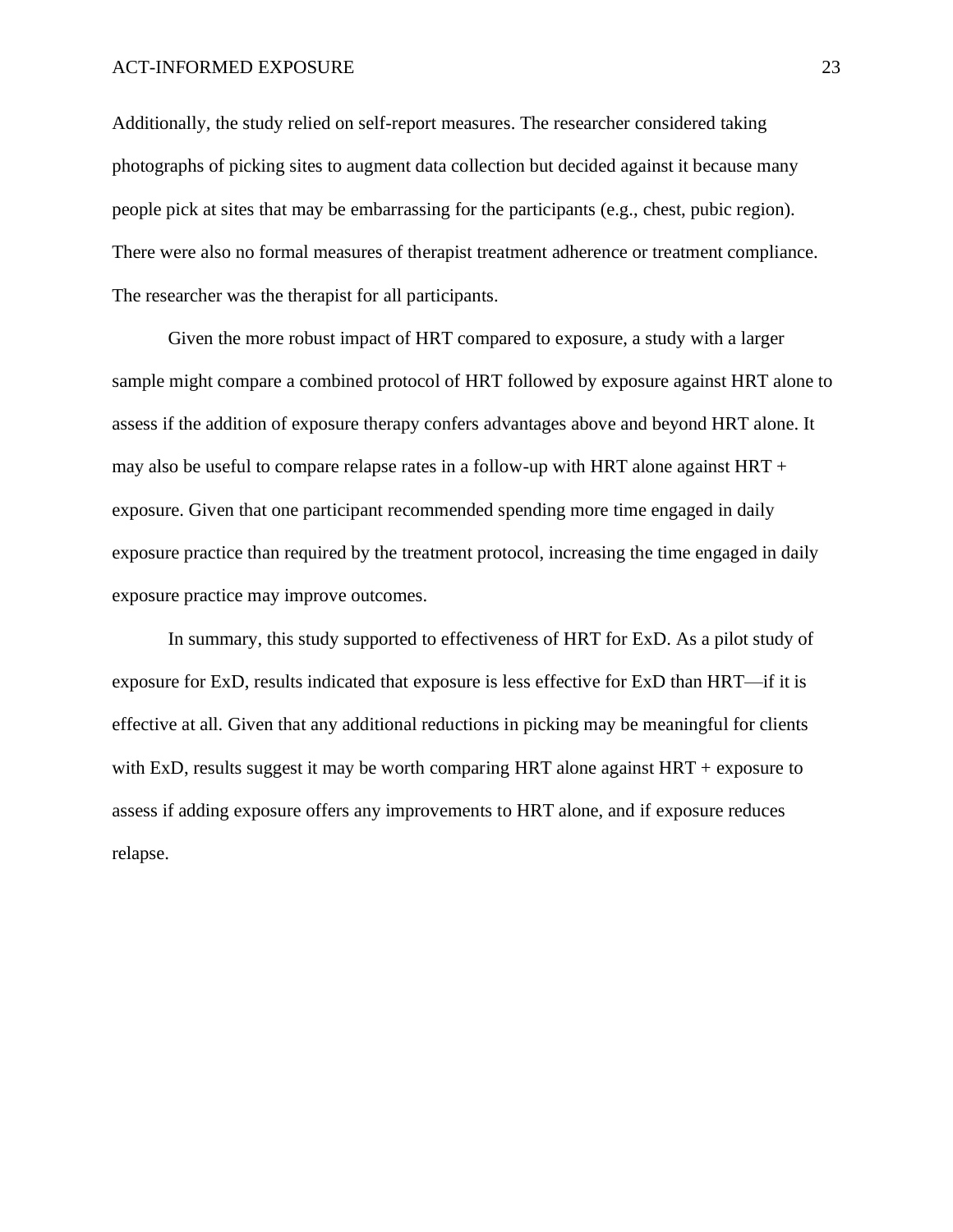Additionally, the study relied on self-report measures. The researcher considered taking photographs of picking sites to augment data collection but decided against it because many people pick at sites that may be embarrassing for the participants (e.g., chest, pubic region). There were also no formal measures of therapist treatment adherence or treatment compliance. The researcher was the therapist for all participants.

Given the more robust impact of HRT compared to exposure, a study with a larger sample might compare a combined protocol of HRT followed by exposure against HRT alone to assess if the addition of exposure therapy confers advantages above and beyond HRT alone. It may also be useful to compare relapse rates in a follow-up with HRT alone against  $HRT +$ exposure. Given that one participant recommended spending more time engaged in daily exposure practice than required by the treatment protocol, increasing the time engaged in daily exposure practice may improve outcomes.

In summary, this study supported to effectiveness of HRT for ExD. As a pilot study of exposure for ExD, results indicated that exposure is less effective for ExD than HRT—if it is effective at all. Given that any additional reductions in picking may be meaningful for clients with ExD, results suggest it may be worth comparing HRT alone against  $HRT +$  exposure to assess if adding exposure offers any improvements to HRT alone, and if exposure reduces relapse.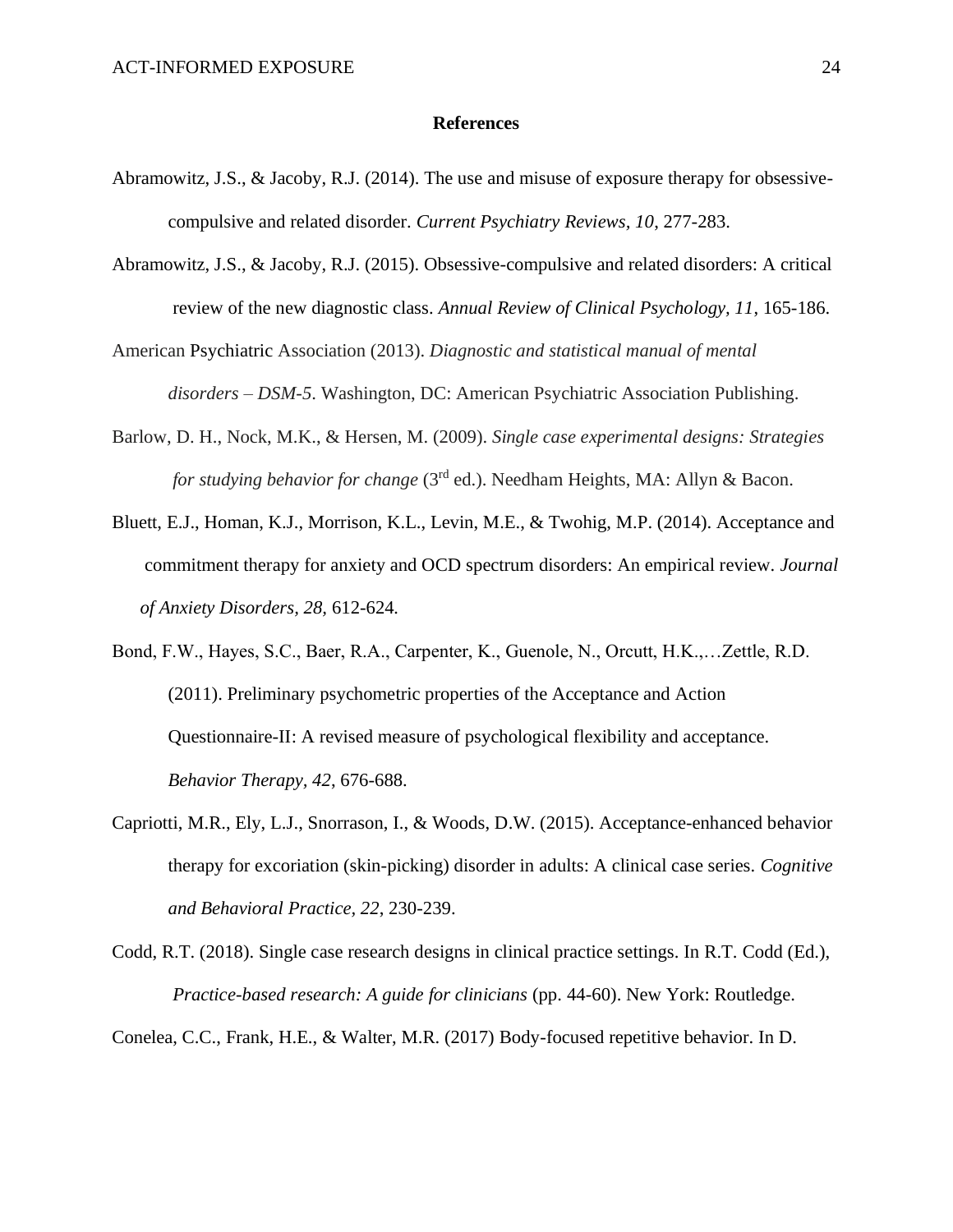#### **References**

- Abramowitz, J.S., & Jacoby, R.J. (2014). The use and misuse of exposure therapy for obsessivecompulsive and related disorder. *Current Psychiatry Reviews, 10*, 277-283.
- Abramowitz, J.S., & Jacoby, R.J. (2015). Obsessive-compulsive and related disorders: A critical review of the new diagnostic class. *Annual Review of Clinical Psychology, 11*, 165-186.
- American Psychiatric Association (2013). *Diagnostic and statistical manual of mental disorders – DSM-5*. Washington, DC: American Psychiatric Association Publishing.
- Barlow, D. H., Nock, M.K., & Hersen, M. (2009). *Single case experimental designs: Strategies for studying behavior for change* (3<sup>rd</sup> ed.). Needham Heights, MA: Allyn & Bacon.
- Bluett, E.J., Homan, K.J., Morrison, K.L., Levin, M.E., & Twohig, M.P. (2014). Acceptance and commitment therapy for anxiety and OCD spectrum disorders: An empirical review. *Journal of Anxiety Disorders, 28,* 612-624*.*

Bond, F.W., Hayes, S.C., Baer, R.A., Carpenter, K., Guenole, N., Orcutt, H.K.,…Zettle, R.D. (2011). Preliminary psychometric properties of the Acceptance and Action Questionnaire-II: A revised measure of psychological flexibility and acceptance. *Behavior Therapy, 42*, 676-688.

Capriotti, M.R., Ely, L.J., Snorrason, I., & Woods, D.W. (2015). Acceptance-enhanced behavior therapy for excoriation (skin-picking) disorder in adults: A clinical case series. *Cognitive and Behavioral Practice, 22*, 230-239.

Codd, R.T. (2018). Single case research designs in clinical practice settings. In R.T. Codd (Ed.), *Practice-based research: A guide for clinicians* (pp. 44-60). New York: Routledge.

Conelea, C.C., Frank, H.E., & Walter, M.R. (2017) Body-focused repetitive behavior. In D.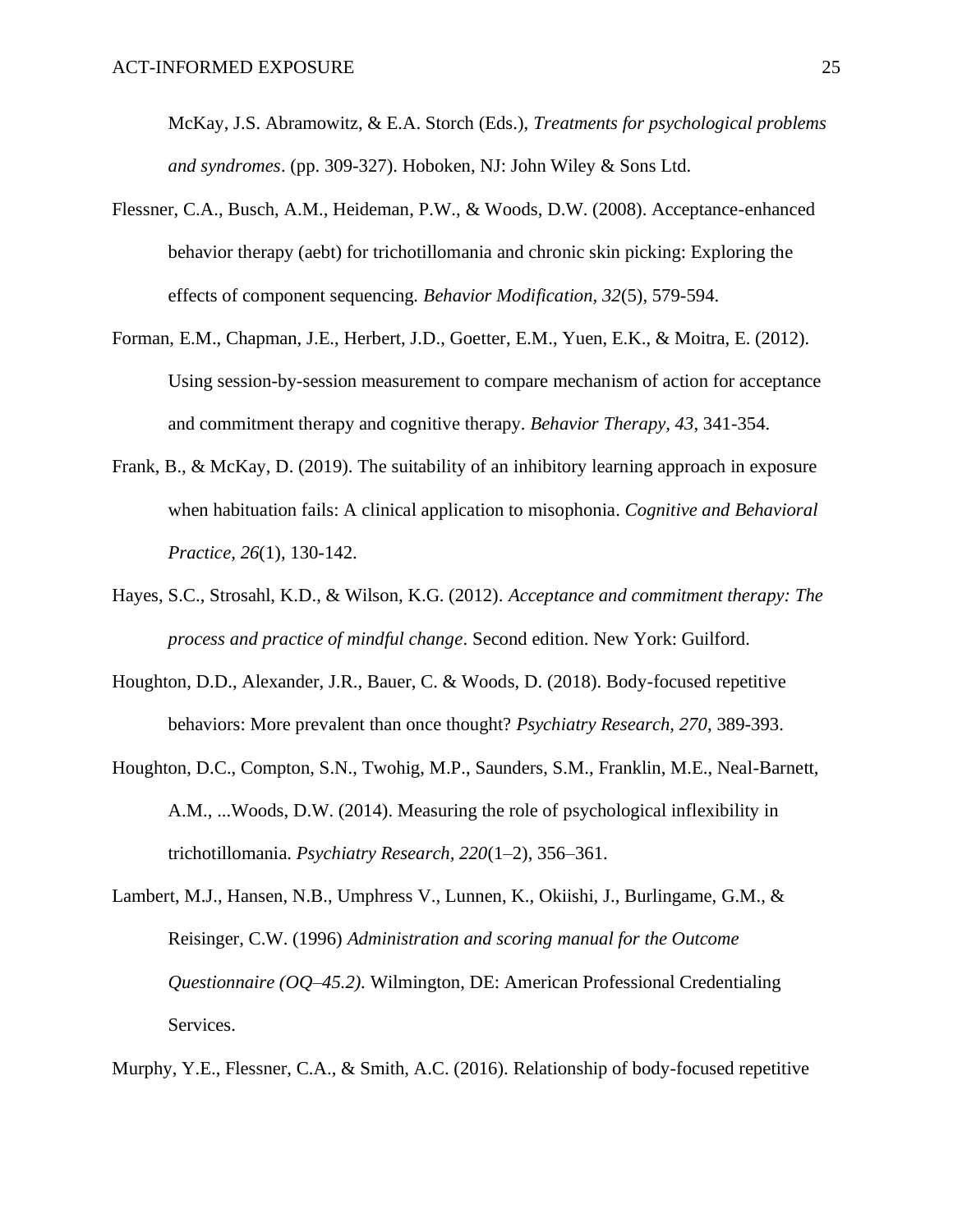McKay, J.S. Abramowitz, & E.A. Storch (Eds.), *Treatments for psychological problems and syndromes*. (pp. 309-327). Hoboken, NJ: John Wiley & Sons Ltd.

- Flessner, C.A., Busch, A.M., Heideman, P.W., & Woods, D.W. (2008). Acceptance-enhanced behavior therapy (aebt) for trichotillomania and chronic skin picking: Exploring the effects of component sequencing*. Behavior Modification, 32*(5), 579-594.
- Forman, E.M., Chapman, J.E., Herbert, J.D., Goetter, E.M., Yuen, E.K., & Moitra, E. (2012). Using session-by-session measurement to compare mechanism of action for acceptance and commitment therapy and cognitive therapy. *Behavior Therapy, 43*, 341-354.
- Frank, B., & McKay, D. (2019). The suitability of an inhibitory learning approach in exposure when habituation fails: A clinical application to misophonia. *Cognitive and Behavioral Practice, 26*(1), 130-142.
- Hayes, S.C., Strosahl, K.D., & Wilson, K.G. (2012). *Acceptance and commitment therapy: The process and practice of mindful change*. Second edition. New York: Guilford.
- Houghton, D.D., Alexander, J.R., Bauer, C. & Woods, D. (2018). Body-focused repetitive behaviors: More prevalent than once thought? *Psychiatry Research, 270*, 389-393.
- Houghton, D.C., Compton, S.N., Twohig, M.P., Saunders, S.M., Franklin, M.E., Neal-Barnett, A.M., ...Woods, D.W. (2014). Measuring the role of psychological inflexibility in trichotillomania. *Psychiatry Research, 220*(1–2), 356–361.
- Lambert, M.J., Hansen, N.B., Umphress V., Lunnen, K., Okiishi, J., Burlingame, G.M., & Reisinger, C.W. (1996) *Administration and scoring manual for the Outcome Questionnaire (OQ*–*45.2).* Wilmington, DE: American Professional Credentialing Services.

Murphy, Y.E., Flessner, C.A., & Smith, A.C. (2016). Relationship of body-focused repetitive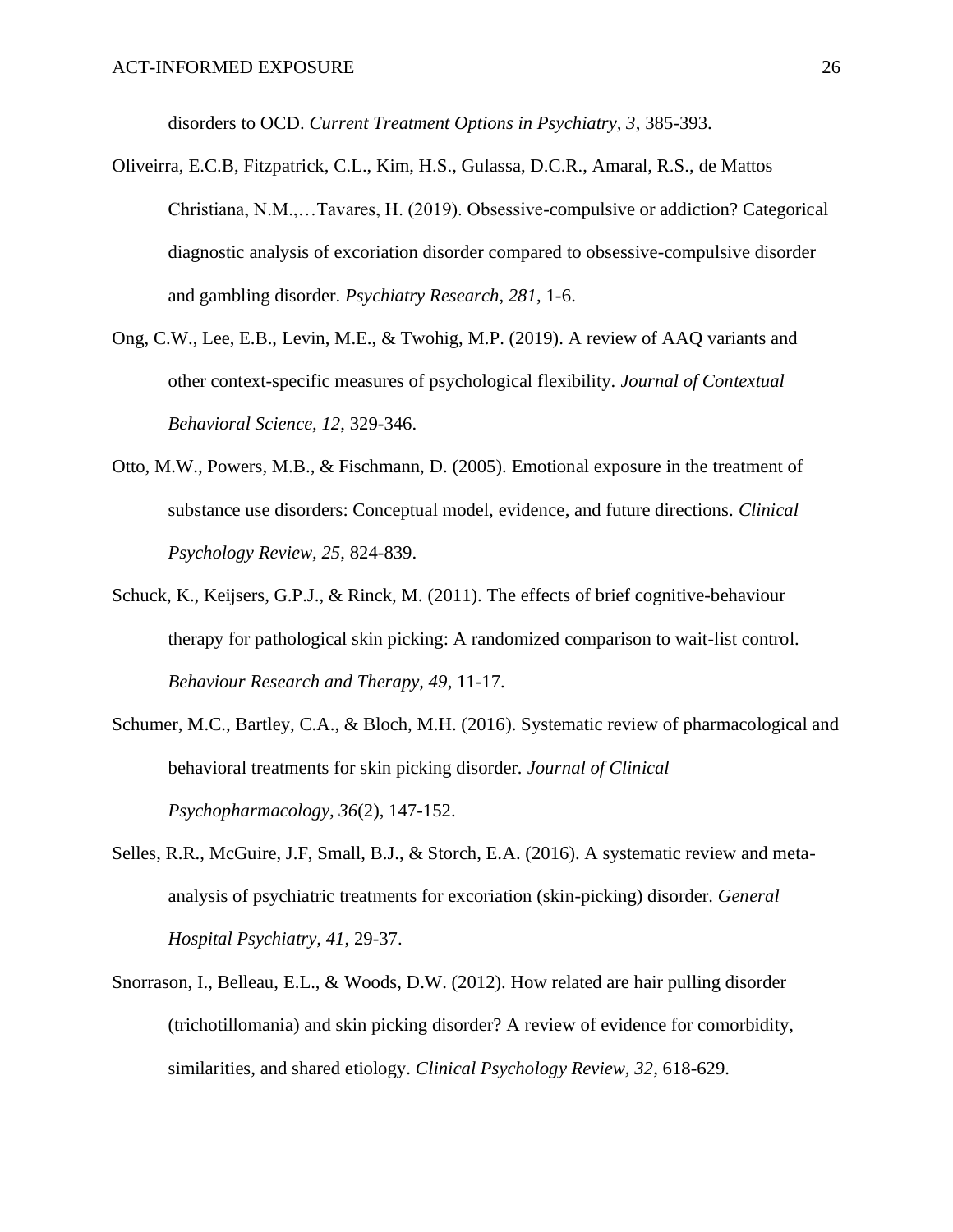disorders to OCD. *Current Treatment Options in Psychiatry, 3*, 385-393.

- Oliveirra, E.C.B, Fitzpatrick, C.L., Kim, H.S., Gulassa, D.C.R., Amaral, R.S., de Mattos Christiana, N.M.,…Tavares, H. (2019). Obsessive-compulsive or addiction? Categorical diagnostic analysis of excoriation disorder compared to obsessive-compulsive disorder and gambling disorder. *Psychiatry Research, 281*, 1-6.
- Ong, C.W., Lee, E.B., Levin, M.E., & Twohig, M.P. (2019). A review of AAQ variants and other context-specific measures of psychological flexibility. *Journal of Contextual Behavioral Science, 12*, 329-346.
- Otto, M.W., Powers, M.B., & Fischmann, D. (2005). Emotional exposure in the treatment of substance use disorders: Conceptual model, evidence, and future directions. *Clinical Psychology Review, 25*, 824-839.
- Schuck, K., Keijsers, G.P.J., & Rinck, M. (2011). The effects of brief cognitive-behaviour therapy for pathological skin picking: A randomized comparison to wait-list control. *Behaviour Research and Therapy, 49*, 11-17.
- Schumer, M.C., Bartley, C.A., & Bloch, M.H. (2016). Systematic review of pharmacological and behavioral treatments for skin picking disorder*. Journal of Clinical Psychopharmacology, 36*(2), 147-152.
- Selles, R.R., McGuire, J.F, Small, B.J., & Storch, E.A. (2016). A systematic review and metaanalysis of psychiatric treatments for excoriation (skin-picking) disorder. *General Hospital Psychiatry, 41*, 29-37.
- Snorrason, I., Belleau, E.L., & Woods, D.W. (2012). How related are hair pulling disorder (trichotillomania) and skin picking disorder? A review of evidence for comorbidity, similarities, and shared etiology. *Clinical Psychology Review, 32*, 618-629.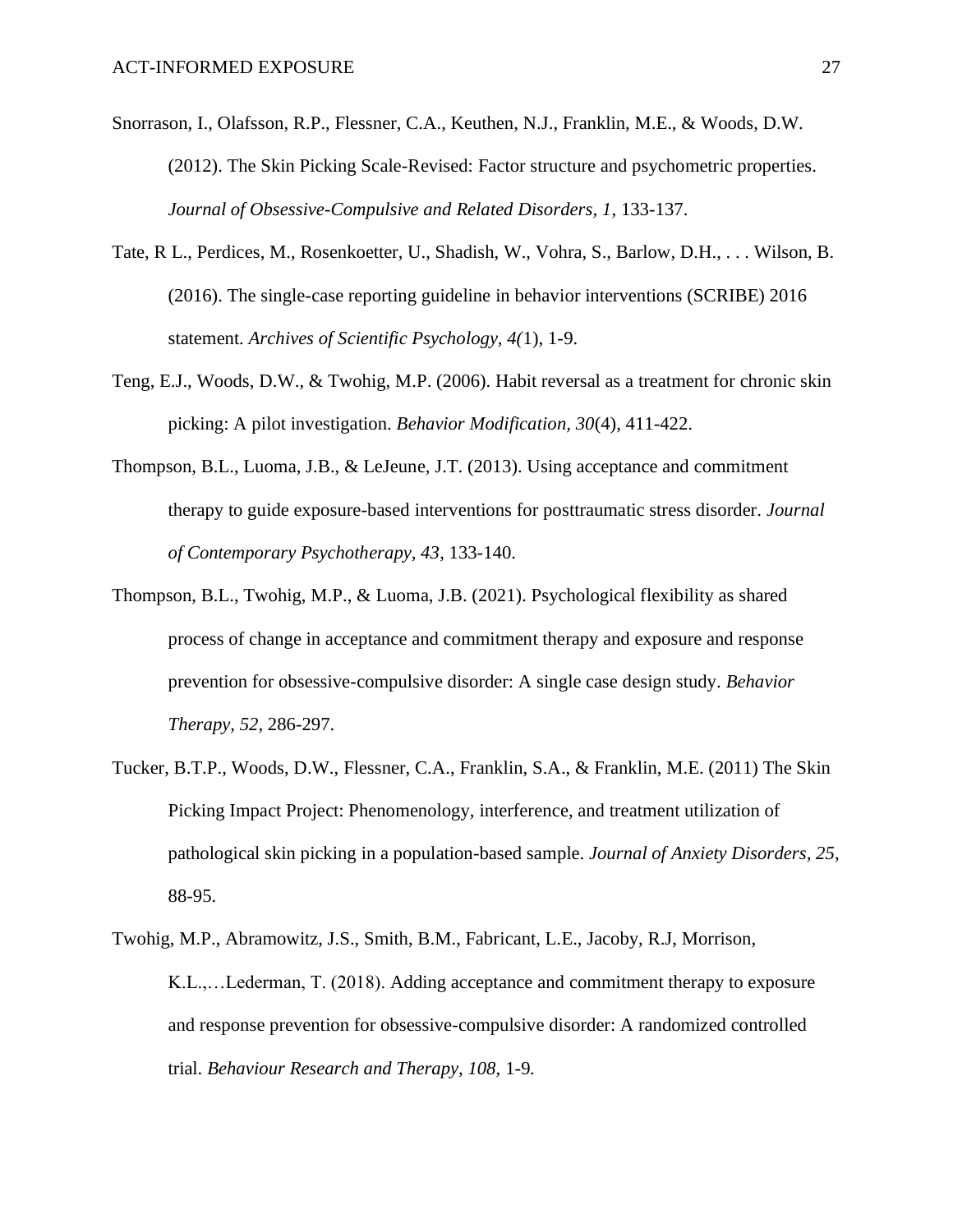- Snorrason, I., Olafsson, R.P., Flessner, C.A., Keuthen, N.J., Franklin, M.E., & Woods, D.W. (2012). The Skin Picking Scale-Revised: Factor structure and psychometric properties. *Journal of Obsessive-Compulsive and Related Disorders, 1*, 133-137.
- Tate, R L., Perdices, M., Rosenkoetter, U., Shadish, W., Vohra, S., Barlow, D.H., . . . Wilson, B. (2016). The single-case reporting guideline in behavior interventions (SCRIBE) 2016 statement. *Archives of Scientific Psychology, 4(*1), 1-9.
- Teng, E.J., Woods, D.W., & Twohig, M.P. (2006). Habit reversal as a treatment for chronic skin picking: A pilot investigation. *Behavior Modification, 30*(4), 411-422.
- Thompson, B.L., Luoma, J.B., & LeJeune, J.T. (2013). Using acceptance and commitment therapy to guide exposure-based interventions for posttraumatic stress disorder. *Journal of Contemporary Psychotherapy, 43*, 133-140.
- Thompson, B.L., Twohig, M.P., & Luoma, J.B. (2021). Psychological flexibility as shared process of change in acceptance and commitment therapy and exposure and response prevention for obsessive-compulsive disorder: A single case design study. *Behavior Therapy, 52*, 286-297.
- Tucker, B.T.P., Woods, D.W., Flessner, C.A., Franklin, S.A., & Franklin, M.E. (2011) The Skin Picking Impact Project: Phenomenology, interference, and treatment utilization of pathological skin picking in a population-based sample. *Journal of Anxiety Disorders, 25*, 88-95.
- Twohig, M.P., Abramowitz, J.S., Smith, B.M., Fabricant, L.E., Jacoby, R.J, Morrison, K.L.,…Lederman, T. (2018). Adding acceptance and commitment therapy to exposure and response prevention for obsessive-compulsive disorder: A randomized controlled trial. *Behaviour Research and Therapy, 108,* 1-9*.*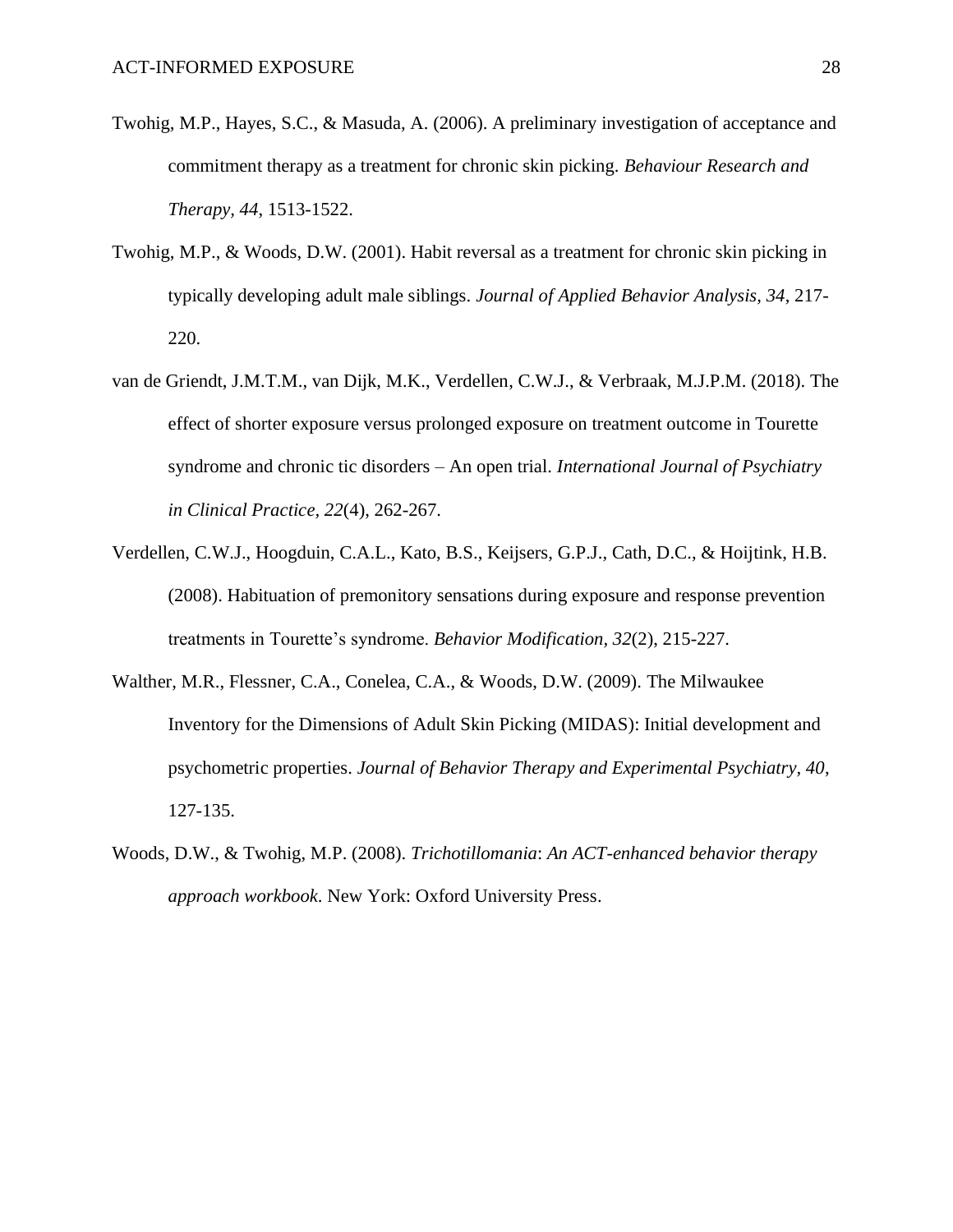- Twohig, M.P., Hayes, S.C., & Masuda, A. (2006). A preliminary investigation of acceptance and commitment therapy as a treatment for chronic skin picking. *Behaviour Research and Therapy, 44*, 1513-1522.
- Twohig, M.P., & Woods, D.W. (2001). Habit reversal as a treatment for chronic skin picking in typically developing adult male siblings. *Journal of Applied Behavior Analysis, 34*, 217- 220.
- van de Griendt, J.M.T.M., van Dijk, M.K., Verdellen, C.W.J., & Verbraak, M.J.P.M. (2018). The effect of shorter exposure versus prolonged exposure on treatment outcome in Tourette syndrome and chronic tic disorders – An open trial. *International Journal of Psychiatry in Clinical Practice, 22*(4), 262-267.
- Verdellen, C.W.J., Hoogduin, C.A.L., Kato, B.S., Keijsers, G.P.J., Cath, D.C., & Hoijtink, H.B. (2008). Habituation of premonitory sensations during exposure and response prevention treatments in Tourette's syndrome. *Behavior Modification, 32*(2), 215-227.
- Walther, M.R., Flessner, C.A., Conelea, C.A., & Woods, D.W. (2009). The Milwaukee Inventory for the Dimensions of Adult Skin Picking (MIDAS): Initial development and psychometric properties. *Journal of Behavior Therapy and Experimental Psychiatry, 40*, 127-135.
- Woods, D.W., & Twohig, M.P. (2008). *Trichotillomania*: *An ACT-enhanced behavior therapy approach workbook*. New York: Oxford University Press.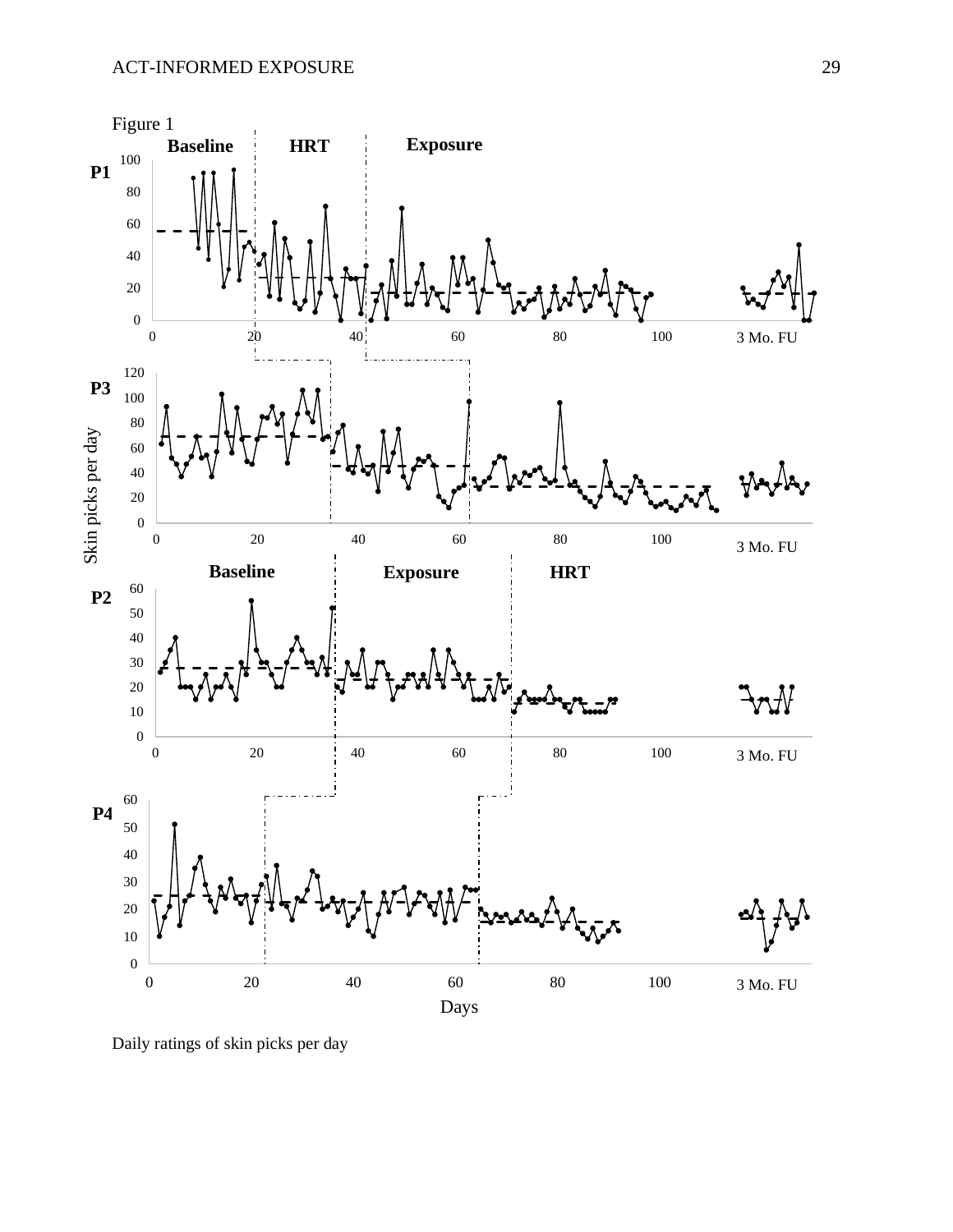

Daily ratings of skin picks per day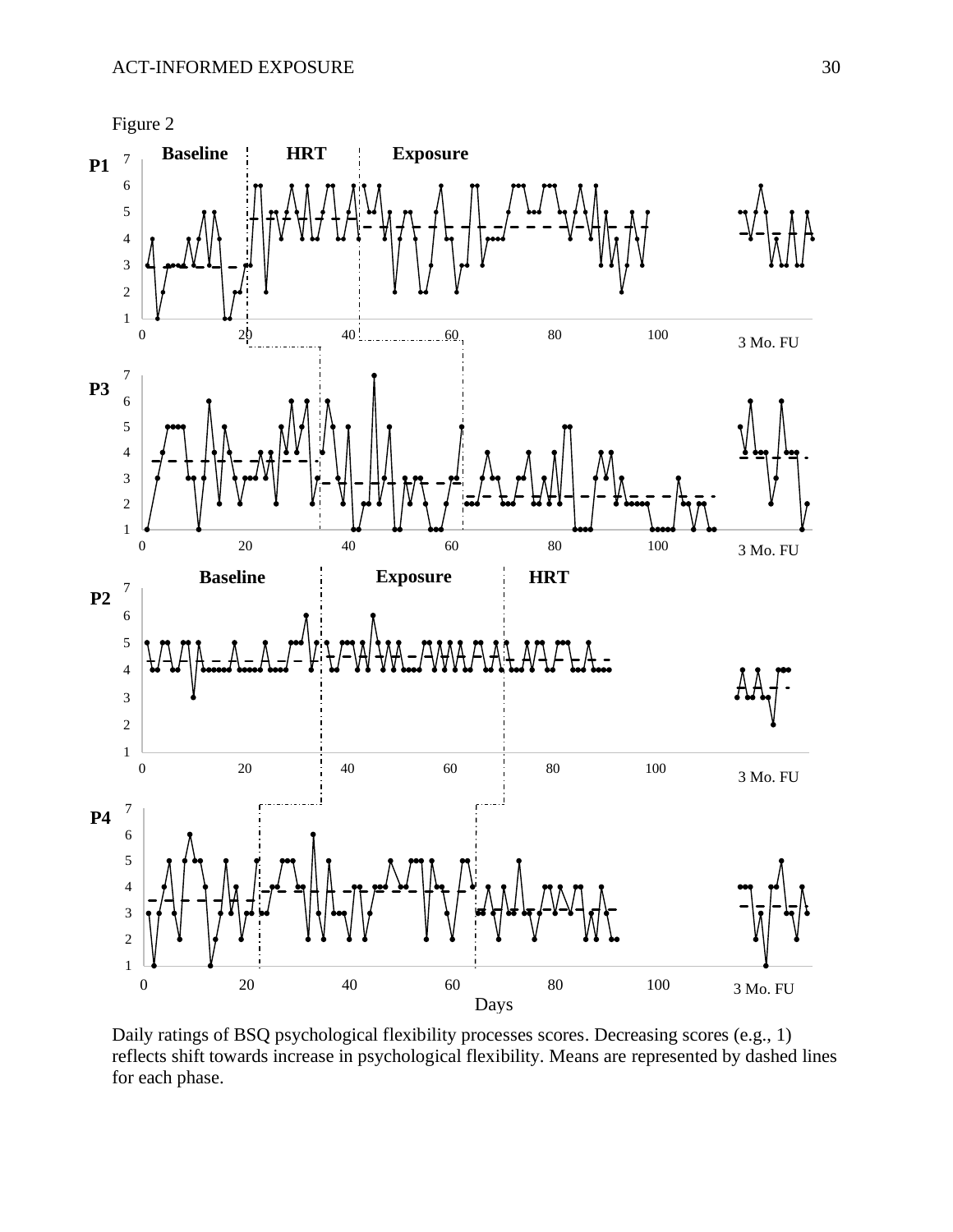

Daily ratings of BSQ psychological flexibility processes scores. Decreasing scores (e.g., 1) reflects shift towards increase in psychological flexibility. Means are represented by dashed lines for each phase.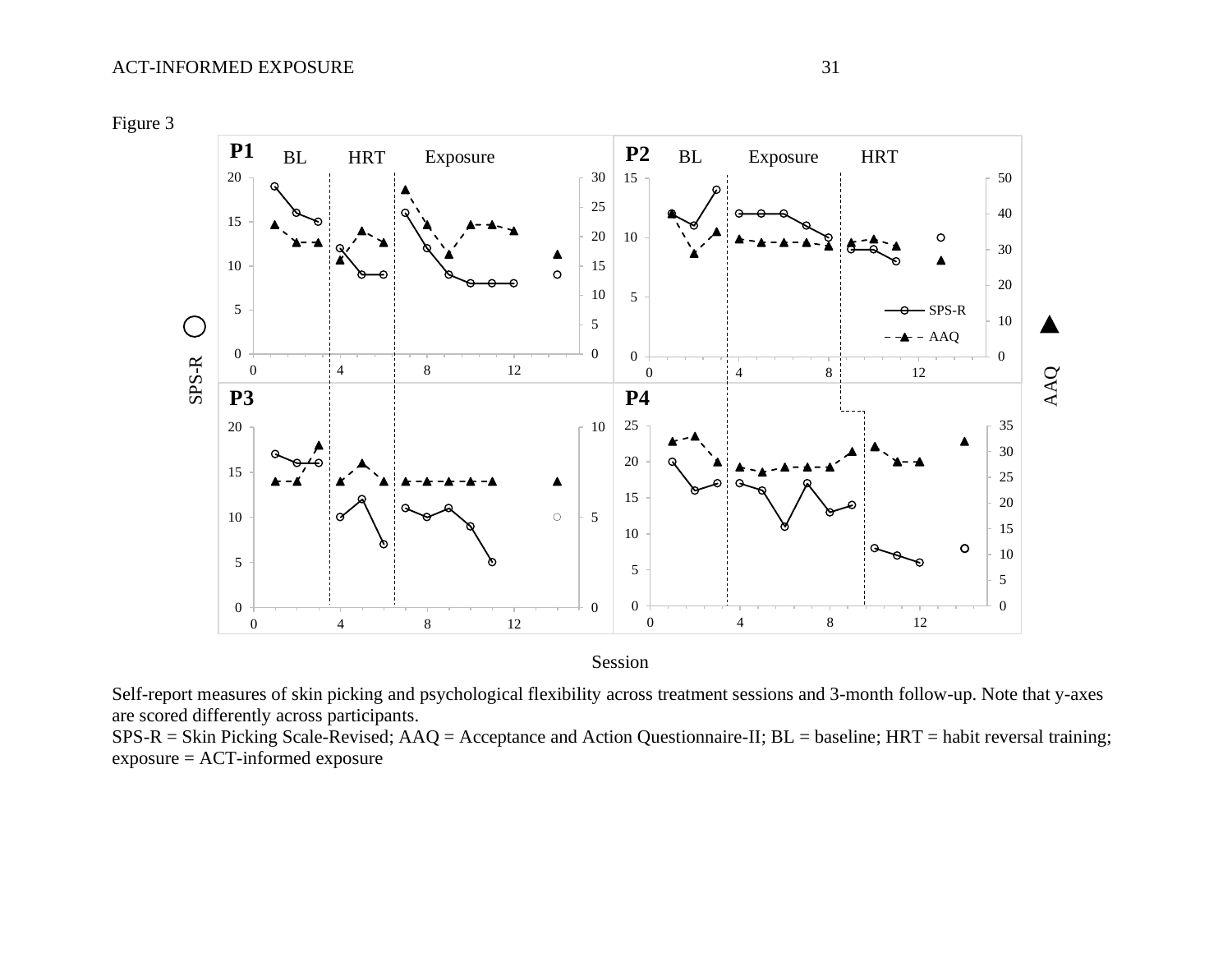Figure 3



Self-report measures of skin picking and psychological flexibility across treatment sessions and 3-month follow-up. Note that y-axes are scored differently across participants.

SPS-R = Skin Picking Scale-Revised; AAQ = Acceptance and Action Questionnaire-II; BL = baseline; HRT = habit reversal training; exposure = ACT-informed exposure